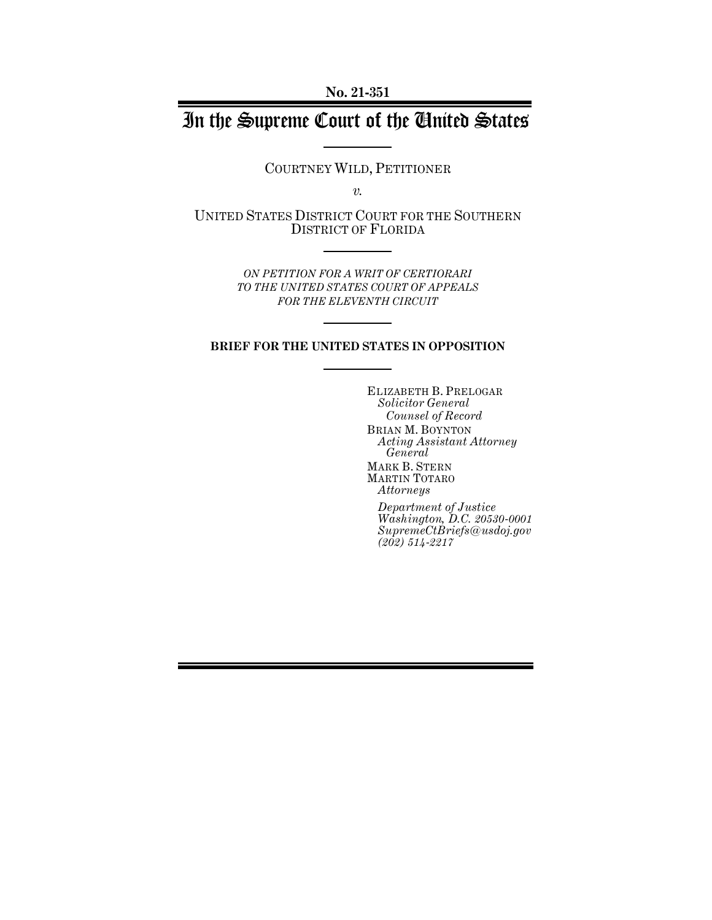**No. 21-351**

# In the Supreme Court of the United States

COURTNEY WILD, PETITIONER

*v.*

UNITED STATES DISTRICT COURT FOR THE SOUTHERN DISTRICT OF FLORIDA

> *ON PETITION FOR A WRIT OF CERTIORARI TO THE UNITED STATES COURT OF APPEALS FOR THE ELEVENTH CIRCUIT*

## **BRIEF FOR THE UNITED STATES IN OPPOSITION**

ELIZABETH B. PRELOGAR *Solicitor General Counsel of Record* BRIAN M. BOYNTON *Acting Assistant Attorney General* MARK B. STERN MARTIN TOTARO *Attorneys*

*Department of Justice Washington, D.C. 20530-0001 SupremeCtBriefs@usdoj.gov (202) 514-2217*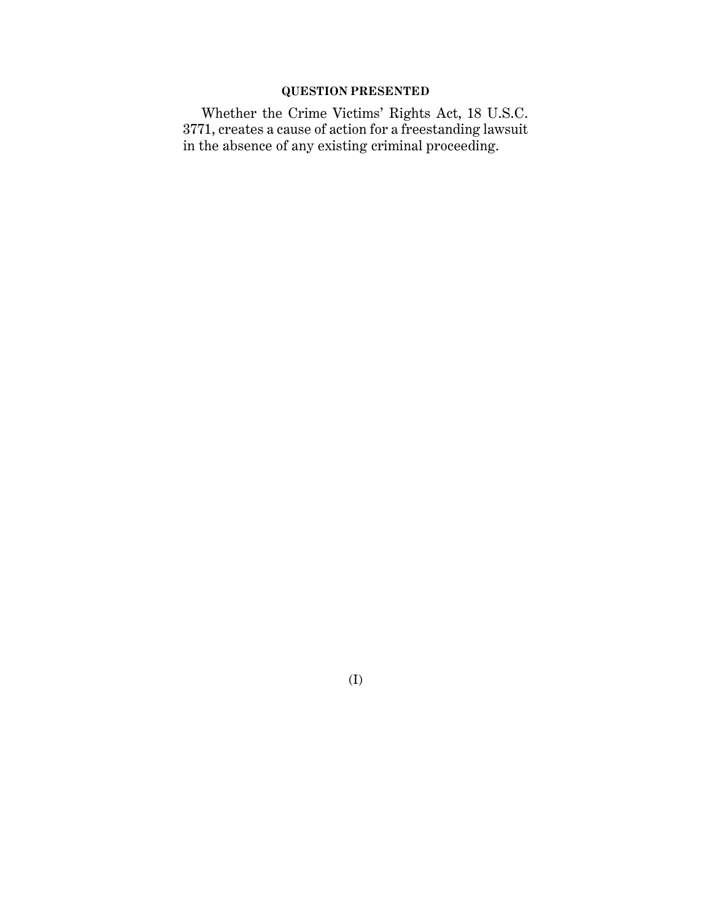# **QUESTION PRESENTED**

Whether the Crime Victims' Rights Act, 18 U.S.C. 3771, creates a cause of action for a freestanding lawsuit in the absence of any existing criminal proceeding.

(I)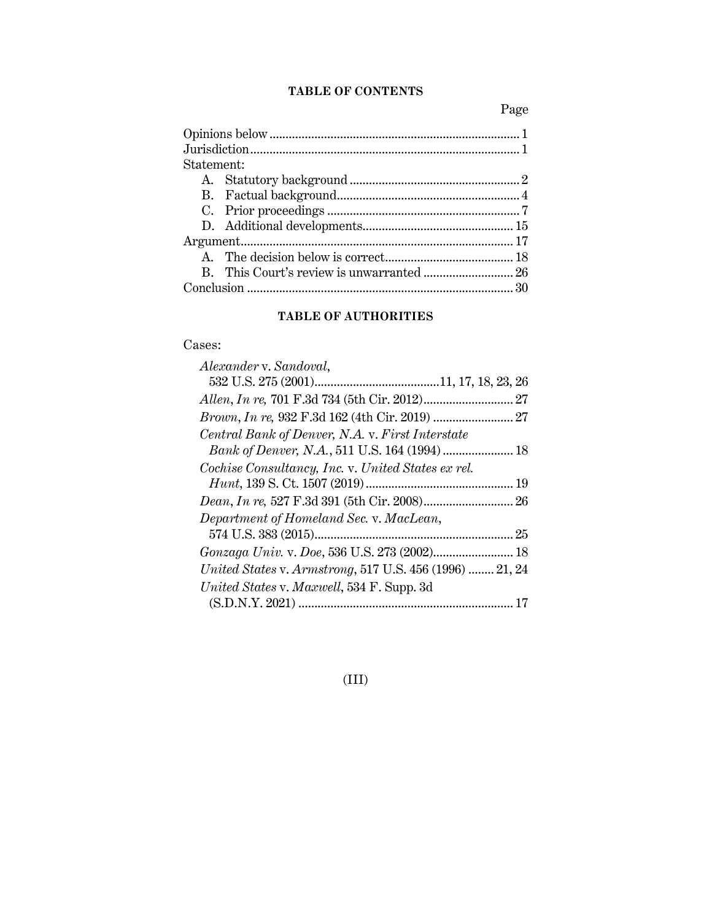# **TABLE OF CONTENTS**

Page

| Statement: |  |  |
|------------|--|--|
|            |  |  |
|            |  |  |
|            |  |  |
|            |  |  |
|            |  |  |
|            |  |  |
|            |  |  |
|            |  |  |

# **TABLE OF AUTHORITIES**

# Cases:

| Alexander v. Sandoval,                                  |    |
|---------------------------------------------------------|----|
|                                                         |    |
|                                                         |    |
|                                                         |    |
| Central Bank of Denver, N.A. v. First Interstate        |    |
|                                                         |    |
| Cochise Consultancy, Inc. v. United States ex rel.      |    |
|                                                         |    |
|                                                         |    |
| Department of Homeland Sec. v. MacLean,                 |    |
|                                                         |    |
|                                                         |    |
| United States v. Armstrong, 517 U.S. 456 (1996)  21, 24 |    |
| United States v. Maxwell, 534 F. Supp. 3d               |    |
|                                                         | 17 |

(III)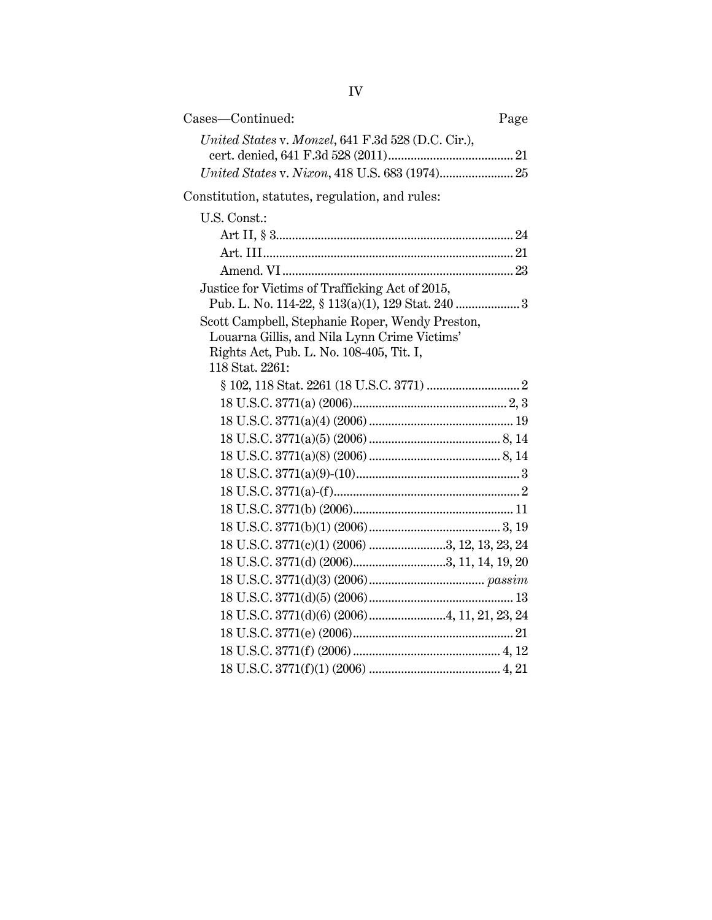| Cases-Continued:                                   | Page |
|----------------------------------------------------|------|
| United States v. Monzel, 641 F.3d 528 (D.C. Cir.), |      |
| United States v. Nixon, 418 U.S. 683 (1974) 25     |      |
| Constitution, statutes, regulation, and rules:     |      |
| U.S. Const.:                                       |      |
|                                                    |      |
|                                                    |      |
|                                                    |      |
| Justice for Victims of Trafficking Act of 2015,    |      |
| Pub. L. No. 114-22, § 113(a)(1), 129 Stat. 240  3  |      |
| Scott Campbell, Stephanie Roper, Wendy Preston,    |      |
| Louarna Gillis, and Nila Lynn Crime Victims'       |      |
| Rights Act, Pub. L. No. 108-405, Tit. I,           |      |
| 118 Stat. 2261:                                    |      |
|                                                    |      |
|                                                    |      |
|                                                    |      |
|                                                    |      |
|                                                    |      |
|                                                    |      |
|                                                    |      |
|                                                    |      |
|                                                    |      |
| 18 U.S.C. 3771(c)(1) (2006) 3, 12, 13, 23, 24      |      |
|                                                    |      |
|                                                    |      |
|                                                    |      |
|                                                    |      |
|                                                    |      |
|                                                    |      |
|                                                    |      |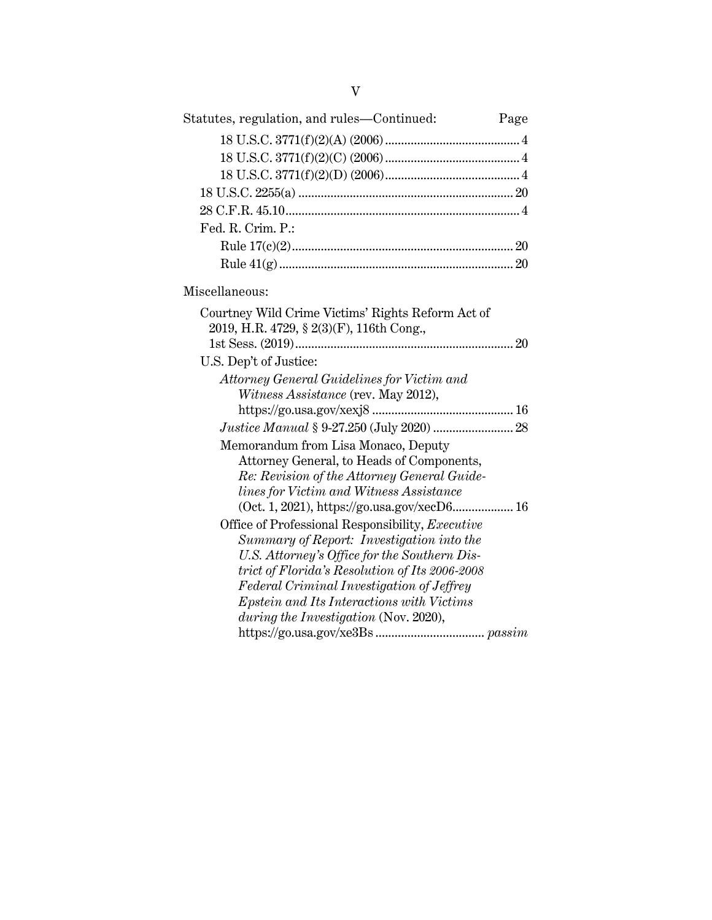| Statutes, regulation, and rules—Continued:                                                     | Page |
|------------------------------------------------------------------------------------------------|------|
|                                                                                                |      |
|                                                                                                |      |
|                                                                                                |      |
|                                                                                                |      |
|                                                                                                |      |
| Fed. R. Crim. P.:                                                                              |      |
|                                                                                                |      |
|                                                                                                |      |
| Miscellaneous:                                                                                 |      |
| Courtney Wild Crime Victims' Rights Reform Act of                                              |      |
| 2019, H.R. 4729, § 2(3)(F), 116th Cong.,                                                       |      |
|                                                                                                |      |
| U.S. Dep't of Justice:                                                                         |      |
| Attorney General Guidelines for Victim and                                                     |      |
| Witness Assistance (rev. May 2012),                                                            |      |
|                                                                                                |      |
|                                                                                                |      |
| Memorandum from Lisa Monaco, Deputy                                                            |      |
| Attorney General, to Heads of Components,                                                      |      |
| Re: Revision of the Attorney General Guide-                                                    |      |
| lines for Victim and Witness Assistance                                                        |      |
| (Oct. 1, 2021), https://go.usa.gov/xecD6 16                                                    |      |
| Office of Professional Responsibility, Executive                                               |      |
| Summary of Report: Investigation into the                                                      |      |
| U.S. Attorney's Office for the Southern Dis-<br>trict of Florida's Resolution of Its 2006-2008 |      |
| Federal Criminal Investigation of Jeffrey                                                      |      |
| Epstein and Its Interactions with Victims                                                      |      |
| during the Investigation (Nov. 2020),                                                          |      |
|                                                                                                |      |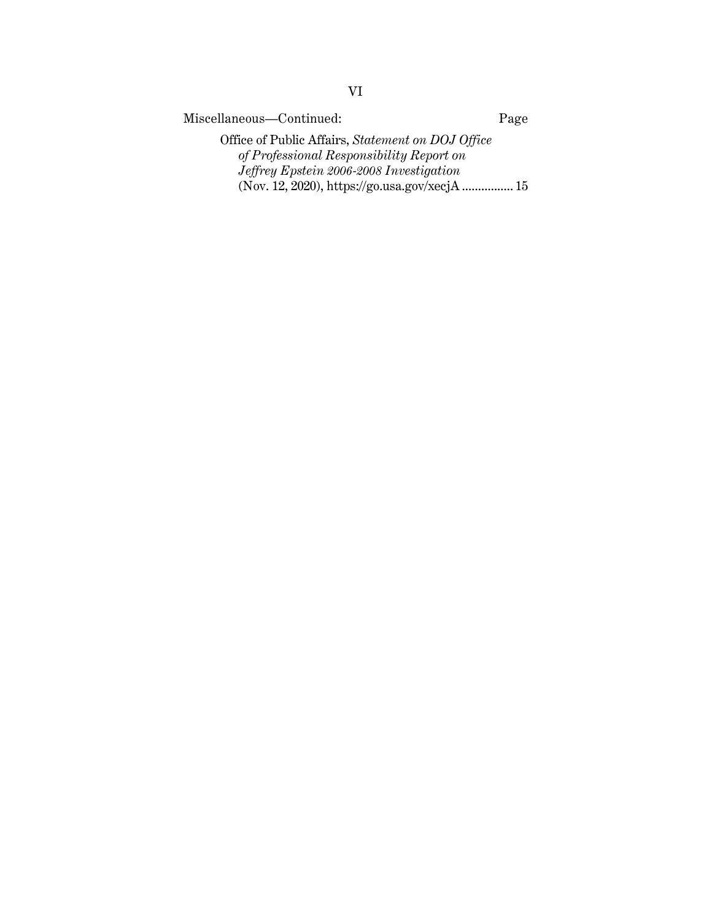Miscellaneous—Continued: Page

Office of Public Affairs, *Statement on DOJ Office of Professional Responsibility Report on Jeffrey Epstein 2006-2008 Investigation* (Nov. 12, 2020), https://go.usa.gov/xecjA ................ 15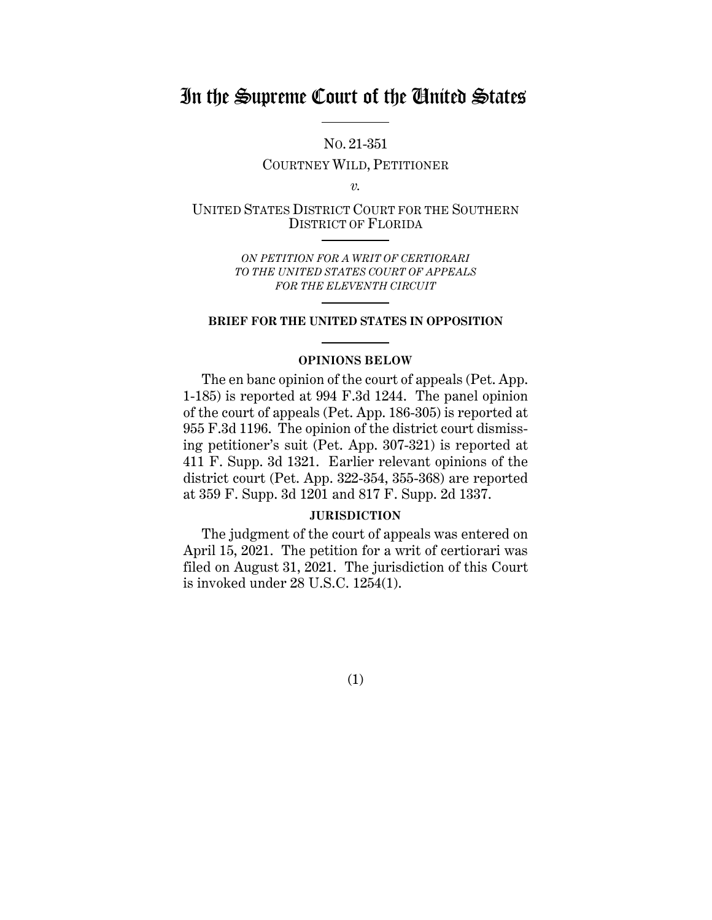# In the Supreme Court of the United States

NO. 21-351

COURTNEY WILD, PETITIONER

*v.*

UNITED STATES DISTRICT COURT FOR THE SOUTHERN DISTRICT OF FLORIDA

> *ON PETITION FOR A WRIT OF CERTIORARI TO THE UNITED STATES COURT OF APPEALS FOR THE ELEVENTH CIRCUIT*

## **BRIEF FOR THE UNITED STATES IN OPPOSITION**

# **OPINIONS BELOW**

The en banc opinion of the court of appeals (Pet. App. 1-185) is reported at 994 F.3d 1244. The panel opinion of the court of appeals (Pet. App. 186-305) is reported at 955 F.3d 1196. The opinion of the district court dismissing petitioner's suit (Pet. App. 307-321) is reported at 411 F. Supp. 3d 1321. Earlier relevant opinions of the district court (Pet. App. 322-354, 355-368) are reported at 359 F. Supp. 3d 1201 and 817 F. Supp. 2d 1337.

## **JURISDICTION**

The judgment of the court of appeals was entered on April 15, 2021. The petition for a writ of certiorari was filed on August 31, 2021. The jurisdiction of this Court is invoked under 28 U.S.C. 1254(1).

(1)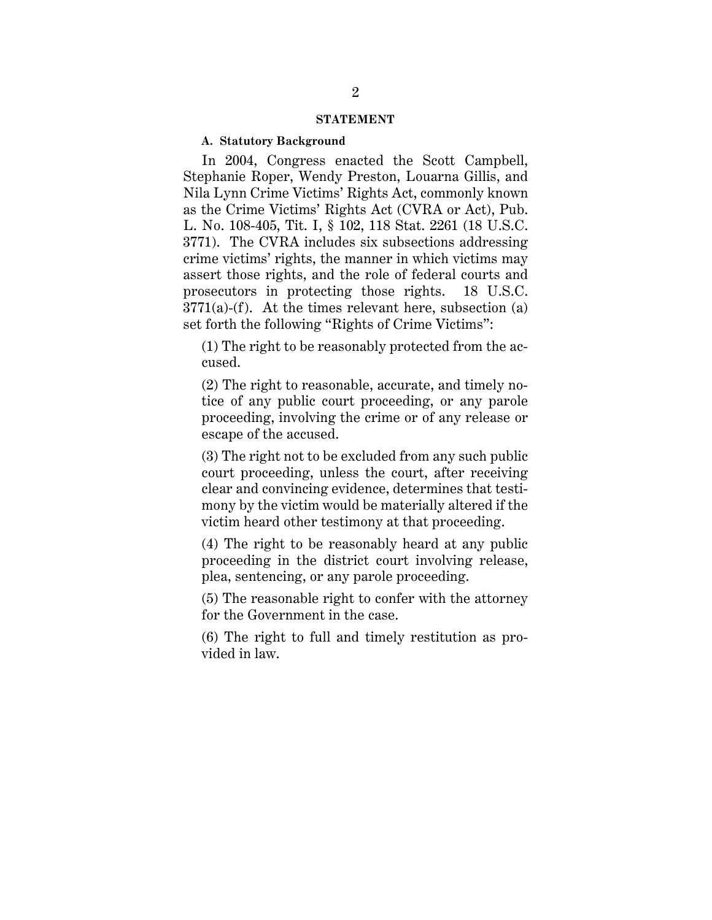#### **STATEMENT**

## **A. Statutory Background**

In 2004, Congress enacted the Scott Campbell, Stephanie Roper, Wendy Preston, Louarna Gillis, and Nila Lynn Crime Victims' Rights Act, commonly known as the Crime Victims' Rights Act (CVRA or Act), Pub. L. No. 108-405, Tit. I, § 102, 118 Stat. 2261 (18 U.S.C. 3771). The CVRA includes six subsections addressing crime victims' rights, the manner in which victims may assert those rights, and the role of federal courts and prosecutors in protecting those rights. 18 U.S.C.  $3771(a)$ -(f). At the times relevant here, subsection (a) set forth the following "Rights of Crime Victims":

(1) The right to be reasonably protected from the accused.

(2) The right to reasonable, accurate, and timely notice of any public court proceeding, or any parole proceeding, involving the crime or of any release or escape of the accused.

(3) The right not to be excluded from any such public court proceeding, unless the court, after receiving clear and convincing evidence, determines that testimony by the victim would be materially altered if the victim heard other testimony at that proceeding.

(4) The right to be reasonably heard at any public proceeding in the district court involving release, plea, sentencing, or any parole proceeding.

(5) The reasonable right to confer with the attorney for the Government in the case.

(6) The right to full and timely restitution as provided in law.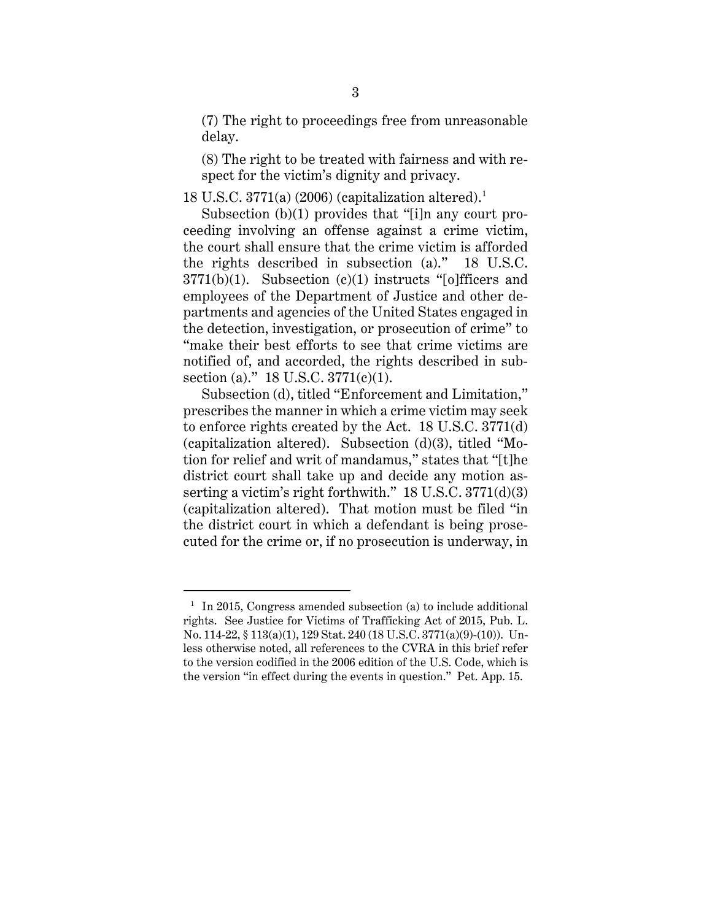(7) The right to proceedings free from unreasonable delay.

(8) The right to be treated with fairness and with respect for the victim's dignity and privacy.

18 U.S.C. 3771(a) (2006) (capitalization altered). 1

 Subsection (b)(1) provides that "[i]n any court proceeding involving an offense against a crime victim, the court shall ensure that the crime victim is afforded the rights described in subsection (a)." 18 U.S.C.  $3771(b)(1)$ . Subsection (c)(1) instructs "[o]fficers and employees of the Department of Justice and other departments and agencies of the United States engaged in the detection, investigation, or prosecution of crime" to "make their best efforts to see that crime victims are notified of, and accorded, the rights described in subsection (a)." 18 U.S.C. 3771(c)(1).

Subsection (d), titled "Enforcement and Limitation," prescribes the manner in which a crime victim may seek to enforce rights created by the Act. 18 U.S.C. 3771(d) (capitalization altered). Subsection (d)(3), titled "Motion for relief and writ of mandamus," states that "[t]he district court shall take up and decide any motion asserting a victim's right forthwith." 18 U.S.C. 3771(d)(3) (capitalization altered). That motion must be filed "in the district court in which a defendant is being prosecuted for the crime or, if no prosecution is underway, in

<sup>&</sup>lt;sup>1</sup> In 2015, Congress amended subsection (a) to include additional rights. See Justice for Victims of Trafficking Act of 2015, Pub. L. No. 114-22, § 113(a)(1), 129 Stat. 240 (18 U.S.C. 3771(a)(9)-(10)). Unless otherwise noted, all references to the CVRA in this brief refer to the version codified in the 2006 edition of the U.S. Code, which is the version "in effect during the events in question." Pet. App. 15.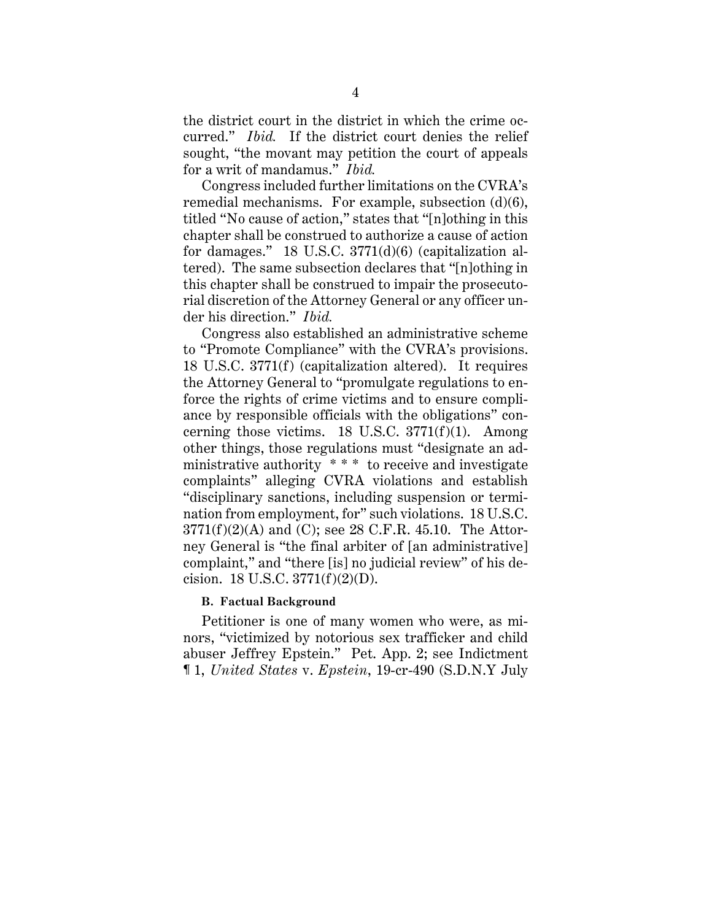the district court in the district in which the crime occurred." *Ibid.* If the district court denies the relief sought, "the movant may petition the court of appeals for a writ of mandamus." *Ibid.*

Congress included further limitations on the CVRA's remedial mechanisms. For example, subsection (d)(6), titled "No cause of action," states that "[n]othing in this chapter shall be construed to authorize a cause of action for damages." 18 U.S.C. 3771(d)(6) (capitalization altered). The same subsection declares that "[n]othing in this chapter shall be construed to impair the prosecutorial discretion of the Attorney General or any officer under his direction." *Ibid.*

Congress also established an administrative scheme to "Promote Compliance" with the CVRA's provisions. 18 U.S.C. 3771(f) (capitalization altered). It requires the Attorney General to "promulgate regulations to enforce the rights of crime victims and to ensure compliance by responsible officials with the obligations" concerning those victims. 18 U.S.C.  $3771(f)(1)$ . Among other things, those regulations must "designate an administrative authority \* \* \* to receive and investigate complaints" alleging CVRA violations and establish "disciplinary sanctions, including suspension or termination from employment, for" such violations. 18 U.S.C.  $3771(f)(2)(A)$  and (C); see 28 C.F.R. 45.10. The Attorney General is "the final arbiter of [an administrative] complaint," and "there [is] no judicial review" of his decision. 18 U.S.C. 3771(f)(2)(D).

### **B. Factual Background**

Petitioner is one of many women who were, as minors, "victimized by notorious sex trafficker and child abuser Jeffrey Epstein." Pet. App. 2; see Indictment ¶ 1, *United States* v. *Epstein*, 19-cr-490 (S.D.N.Y July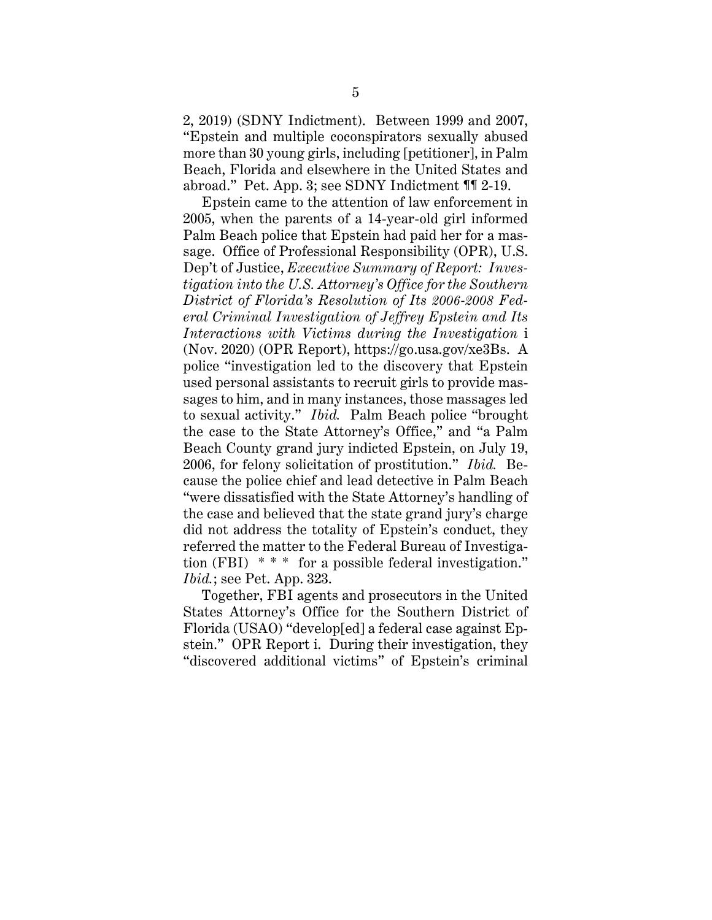2, 2019) (SDNY Indictment). Between 1999 and 2007, "Epstein and multiple coconspirators sexually abused more than 30 young girls, including [petitioner], in Palm Beach, Florida and elsewhere in the United States and abroad." Pet. App. 3; see SDNY Indictment ¶¶ 2-19.

Epstein came to the attention of law enforcement in 2005, when the parents of a 14-year-old girl informed Palm Beach police that Epstein had paid her for a massage. Office of Professional Responsibility (OPR), U.S. Dep't of Justice, *Executive Summary of Report: Investigation into the U.S. Attorney's Office for the Southern District of Florida's Resolution of Its 2006-2008 Federal Criminal Investigation of Jeffrey Epstein and Its Interactions with Victims during the Investigation* i (Nov. 2020) (OPR Report), https://go.usa.gov/xe3Bs. A police "investigation led to the discovery that Epstein used personal assistants to recruit girls to provide massages to him, and in many instances, those massages led to sexual activity." *Ibid.* Palm Beach police "brought the case to the State Attorney's Office," and "a Palm Beach County grand jury indicted Epstein, on July 19, 2006, for felony solicitation of prostitution." *Ibid.* Because the police chief and lead detective in Palm Beach "were dissatisfied with the State Attorney's handling of the case and believed that the state grand jury's charge did not address the totality of Epstein's conduct, they referred the matter to the Federal Bureau of Investigation (FBI)  $**$  for a possible federal investigation." *Ibid.*; see Pet. App. 323.

Together, FBI agents and prosecutors in the United States Attorney's Office for the Southern District of Florida (USAO) "develop[ed] a federal case against Epstein." OPR Report i. During their investigation, they "discovered additional victims" of Epstein's criminal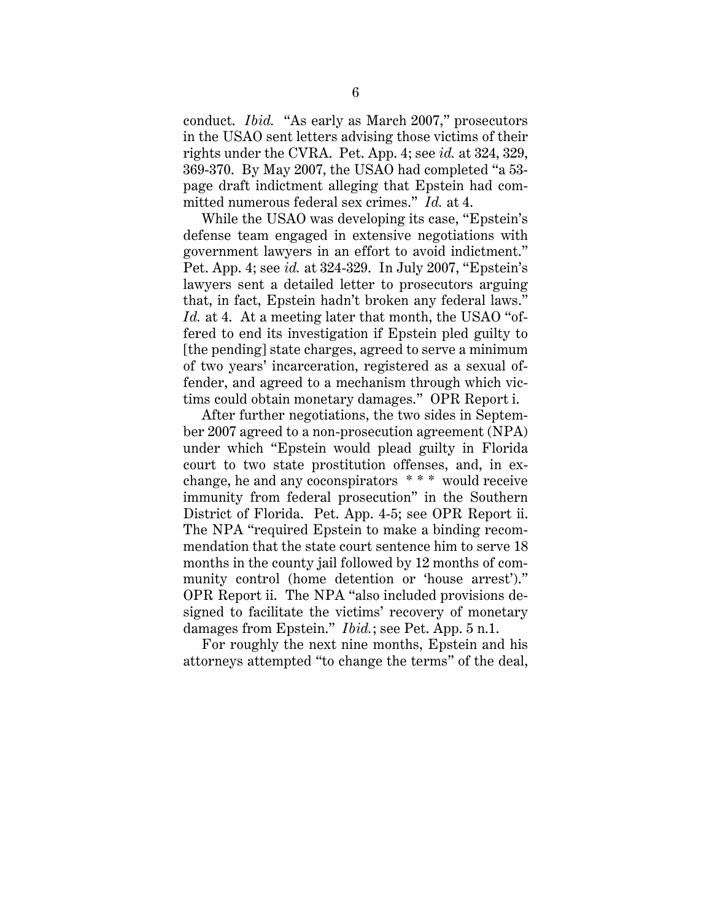conduct. *Ibid.* "As early as March 2007," prosecutors in the USAO sent letters advising those victims of their rights under the CVRA. Pet. App. 4; see *id.* at 324, 329, 369-370. By May 2007, the USAO had completed "a 53 page draft indictment alleging that Epstein had committed numerous federal sex crimes." *Id.* at 4.

While the USAO was developing its case, "Epstein's defense team engaged in extensive negotiations with government lawyers in an effort to avoid indictment." Pet. App. 4; see *id.* at 324-329. In July 2007, "Epstein's lawyers sent a detailed letter to prosecutors arguing that, in fact, Epstein hadn't broken any federal laws." *Id.* at 4. At a meeting later that month, the USAO "offered to end its investigation if Epstein pled guilty to [the pending] state charges, agreed to serve a minimum of two years' incarceration, registered as a sexual offender, and agreed to a mechanism through which victims could obtain monetary damages." OPR Report i.

After further negotiations, the two sides in September 2007 agreed to a non-prosecution agreement (NPA) under which "Epstein would plead guilty in Florida court to two state prostitution offenses, and, in exchange, he and any coconspirators \* \* \* would receive immunity from federal prosecution" in the Southern District of Florida. Pet. App. 4-5; see OPR Report ii. The NPA "required Epstein to make a binding recommendation that the state court sentence him to serve 18 months in the county jail followed by 12 months of community control (home detention or 'house arrest')." OPR Report ii. The NPA "also included provisions designed to facilitate the victims' recovery of monetary damages from Epstein." *Ibid.*; see Pet. App. 5 n.1.

For roughly the next nine months, Epstein and his attorneys attempted "to change the terms" of the deal,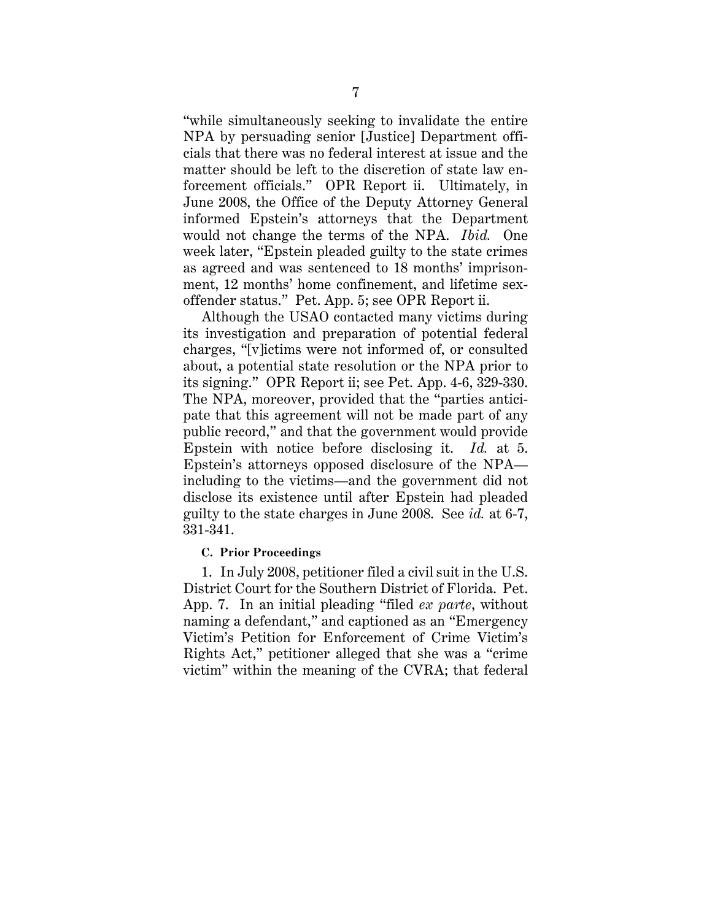"while simultaneously seeking to invalidate the entire NPA by persuading senior [Justice] Department officials that there was no federal interest at issue and the matter should be left to the discretion of state law enforcement officials." OPR Report ii. Ultimately, in June 2008, the Office of the Deputy Attorney General informed Epstein's attorneys that the Department would not change the terms of the NPA. *Ibid.* One week later, "Epstein pleaded guilty to the state crimes as agreed and was sentenced to 18 months' imprisonment, 12 months' home confinement, and lifetime sexoffender status." Pet. App. 5; see OPR Report ii.

Although the USAO contacted many victims during its investigation and preparation of potential federal charges, "[v]ictims were not informed of, or consulted about, a potential state resolution or the NPA prior to its signing." OPR Report ii; see Pet. App. 4-6, 329-330. The NPA, moreover, provided that the "parties anticipate that this agreement will not be made part of any public record," and that the government would provide Epstein with notice before disclosing it. *Id.* at 5. Epstein's attorneys opposed disclosure of the NPA including to the victims—and the government did not disclose its existence until after Epstein had pleaded guilty to the state charges in June 2008. See *id.* at 6-7, 331-341.

# **C. Prior Proceedings**

1. In July 2008, petitioner filed a civil suit in the U.S. District Court for the Southern District of Florida. Pet. App. 7. In an initial pleading "filed *ex parte*, without naming a defendant," and captioned as an "Emergency Victim's Petition for Enforcement of Crime Victim's Rights Act," petitioner alleged that she was a "crime victim" within the meaning of the CVRA; that federal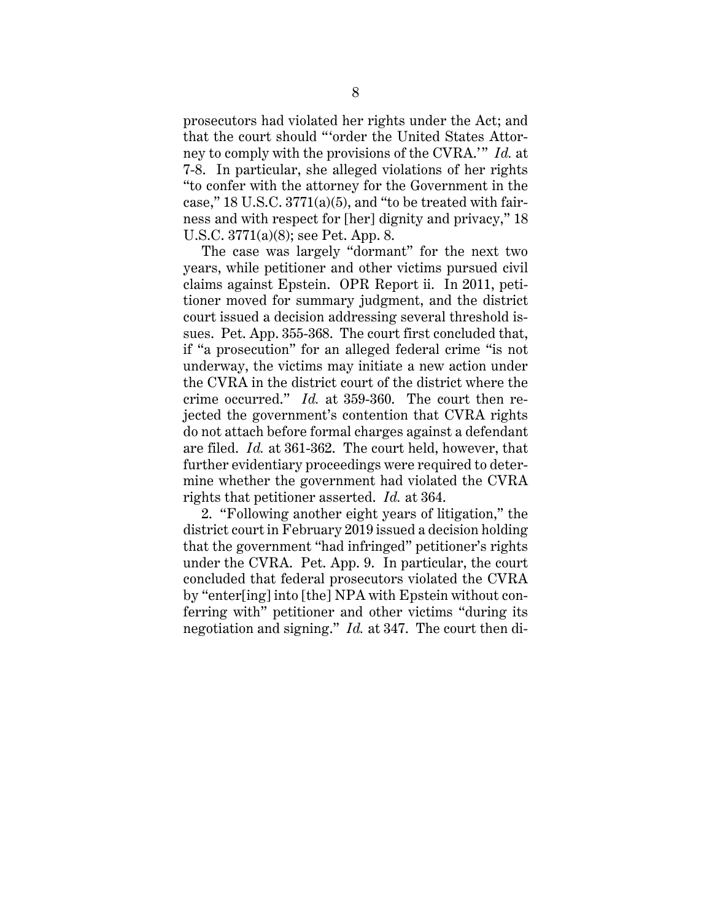prosecutors had violated her rights under the Act; and that the court should "'order the United States Attorney to comply with the provisions of the CVRA.'" *Id.* at 7-8. In particular, she alleged violations of her rights "to confer with the attorney for the Government in the case,"  $18$  U.S.C.  $3771(a)(5)$ , and "to be treated with fairness and with respect for [her] dignity and privacy," 18 U.S.C. 3771(a)(8); see Pet. App. 8.

The case was largely "dormant" for the next two years, while petitioner and other victims pursued civil claims against Epstein. OPR Report ii. In 2011, petitioner moved for summary judgment, and the district court issued a decision addressing several threshold issues. Pet. App. 355-368. The court first concluded that, if "a prosecution" for an alleged federal crime "is not underway, the victims may initiate a new action under the CVRA in the district court of the district where the crime occurred." *Id.* at 359-360. The court then rejected the government's contention that CVRA rights do not attach before formal charges against a defendant are filed. *Id.* at 361-362. The court held, however, that further evidentiary proceedings were required to determine whether the government had violated the CVRA rights that petitioner asserted. *Id.* at 364.

2. "Following another eight years of litigation," the district court in February 2019 issued a decision holding that the government "had infringed" petitioner's rights under the CVRA. Pet. App. 9. In particular, the court concluded that federal prosecutors violated the CVRA by "enter[ing] into [the] NPA with Epstein without conferring with" petitioner and other victims "during its negotiation and signing." *Id.* at 347. The court then di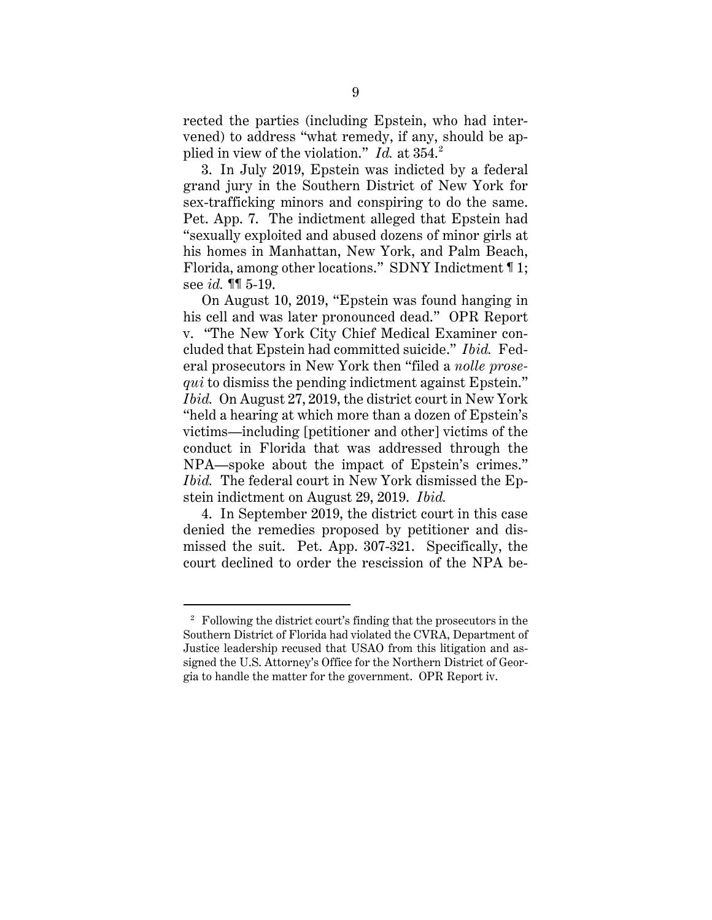rected the parties (including Epstein, who had intervened) to address "what remedy, if any, should be applied in view of the violation." *Id.* at 354.<sup>2</sup>

3. In July 2019, Epstein was indicted by a federal grand jury in the Southern District of New York for sex-trafficking minors and conspiring to do the same. Pet. App. 7. The indictment alleged that Epstein had "sexually exploited and abused dozens of minor girls at his homes in Manhattan, New York, and Palm Beach, Florida, among other locations." SDNY Indictment ¶ 1; see *id.* ¶¶ 5-19.

On August 10, 2019, "Epstein was found hanging in his cell and was later pronounced dead." OPR Report v. "The New York City Chief Medical Examiner concluded that Epstein had committed suicide." *Ibid.* Federal prosecutors in New York then "filed a *nolle prosequi* to dismiss the pending indictment against Epstein." *Ibid.* On August 27, 2019, the district court in New York "held a hearing at which more than a dozen of Epstein's victims—including [petitioner and other] victims of the conduct in Florida that was addressed through the NPA—spoke about the impact of Epstein's crimes." *Ibid.* The federal court in New York dismissed the Epstein indictment on August 29, 2019. *Ibid.*

4. In September 2019, the district court in this case denied the remedies proposed by petitioner and dismissed the suit. Pet. App. 307-321. Specifically, the court declined to order the rescission of the NPA be-

<sup>&</sup>lt;sup>2</sup> Following the district court's finding that the prosecutors in the Southern District of Florida had violated the CVRA, Department of Justice leadership recused that USAO from this litigation and assigned the U.S. Attorney's Office for the Northern District of Georgia to handle the matter for the government. OPR Report iv.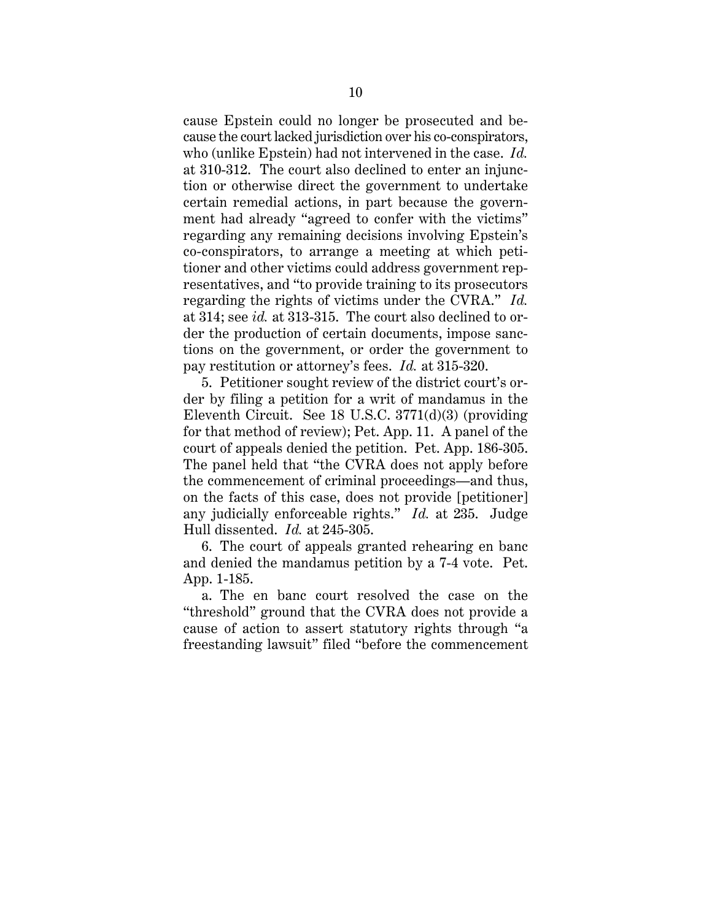cause Epstein could no longer be prosecuted and because the court lacked jurisdiction over his co-conspirators, who (unlike Epstein) had not intervened in the case. *Id.* at 310-312. The court also declined to enter an injunction or otherwise direct the government to undertake certain remedial actions, in part because the government had already "agreed to confer with the victims" regarding any remaining decisions involving Epstein's co-conspirators, to arrange a meeting at which petitioner and other victims could address government representatives, and "to provide training to its prosecutors regarding the rights of victims under the CVRA." *Id.*  at 314; see *id.* at 313-315. The court also declined to order the production of certain documents, impose sanctions on the government, or order the government to pay restitution or attorney's fees. *Id.* at 315-320.

5. Petitioner sought review of the district court's order by filing a petition for a writ of mandamus in the Eleventh Circuit. See 18 U.S.C. 3771(d)(3) (providing for that method of review); Pet. App. 11. A panel of the court of appeals denied the petition. Pet. App. 186-305. The panel held that "the CVRA does not apply before the commencement of criminal proceedings—and thus, on the facts of this case, does not provide [petitioner] any judicially enforceable rights." *Id.* at 235. Judge Hull dissented. *Id.* at 245-305.

6. The court of appeals granted rehearing en banc and denied the mandamus petition by a 7-4 vote. Pet. App. 1-185.

a. The en banc court resolved the case on the "threshold" ground that the CVRA does not provide a cause of action to assert statutory rights through "a freestanding lawsuit" filed "before the commencement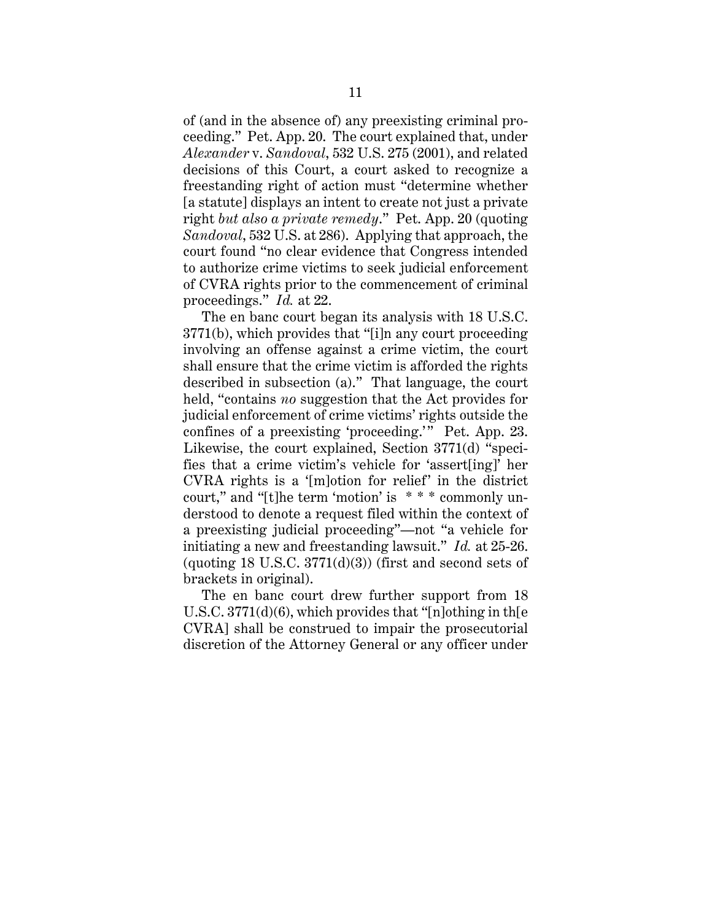of (and in the absence of) any preexisting criminal proceeding." Pet. App. 20. The court explained that, under *Alexander* v. *Sandoval*, 532 U.S. 275 (2001), and related decisions of this Court, a court asked to recognize a freestanding right of action must "determine whether [a statute] displays an intent to create not just a private right *but also a private remedy*." Pet. App. 20 (quoting *Sandoval*, 532 U.S. at 286). Applying that approach, the court found "no clear evidence that Congress intended to authorize crime victims to seek judicial enforcement of CVRA rights prior to the commencement of criminal proceedings." *Id.* at 22.

The en banc court began its analysis with 18 U.S.C. 3771(b), which provides that "[i]n any court proceeding involving an offense against a crime victim, the court shall ensure that the crime victim is afforded the rights described in subsection (a)." That language, the court held, "contains *no* suggestion that the Act provides for judicial enforcement of crime victims' rights outside the confines of a preexisting 'proceeding.'" Pet. App. 23. Likewise, the court explained, Section 3771(d) "specifies that a crime victim's vehicle for 'assert[ing]' her CVRA rights is a '[m]otion for relief' in the district court," and "[t]he term 'motion' is \* \* \* commonly understood to denote a request filed within the context of a preexisting judicial proceeding"—not "a vehicle for initiating a new and freestanding lawsuit." *Id.* at 25-26. (quoting 18 U.S.C.  $3771(d)(3)$ ) (first and second sets of brackets in original).

The en banc court drew further support from 18 U.S.C. 3771(d)(6), which provides that "[n]othing in th[e CVRA] shall be construed to impair the prosecutorial discretion of the Attorney General or any officer under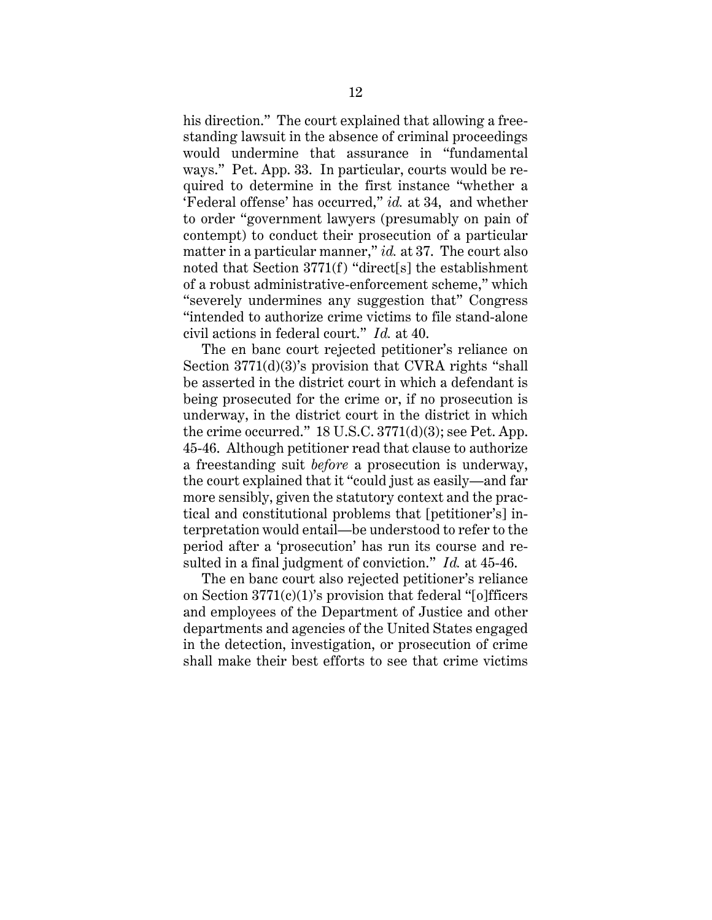his direction." The court explained that allowing a freestanding lawsuit in the absence of criminal proceedings would undermine that assurance in "fundamental ways." Pet. App. 33. In particular, courts would be required to determine in the first instance "whether a 'Federal offense' has occurred," *id.* at 34, and whether to order "government lawyers (presumably on pain of contempt) to conduct their prosecution of a particular matter in a particular manner," *id.* at 37. The court also noted that Section 3771(f) "direct[s] the establishment of a robust administrative-enforcement scheme," which "severely undermines any suggestion that" Congress "intended to authorize crime victims to file stand-alone civil actions in federal court." *Id.* at 40.

The en banc court rejected petitioner's reliance on Section 3771(d)(3)'s provision that CVRA rights "shall be asserted in the district court in which a defendant is being prosecuted for the crime or, if no prosecution is underway, in the district court in the district in which the crime occurred." 18 U.S.C. 3771(d)(3); see Pet. App. 45-46. Although petitioner read that clause to authorize a freestanding suit *before* a prosecution is underway, the court explained that it "could just as easily—and far more sensibly, given the statutory context and the practical and constitutional problems that [petitioner's] interpretation would entail—be understood to refer to the period after a 'prosecution' has run its course and resulted in a final judgment of conviction." *Id.* at 45-46.

The en banc court also rejected petitioner's reliance on Section  $3771(c)(1)$ 's provision that federal "[o]fficers and employees of the Department of Justice and other departments and agencies of the United States engaged in the detection, investigation, or prosecution of crime shall make their best efforts to see that crime victims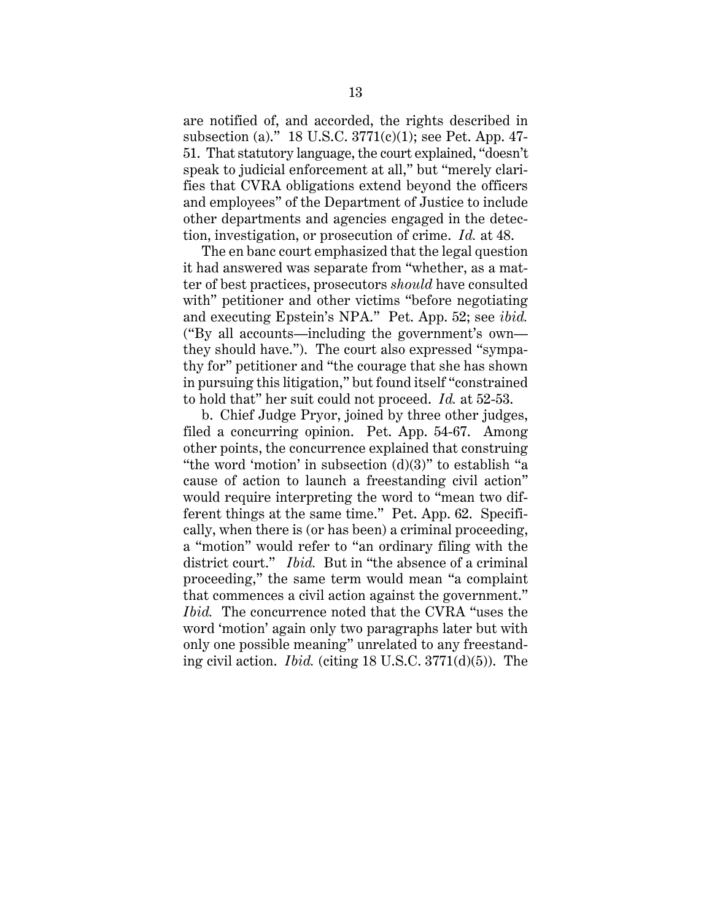are notified of, and accorded, the rights described in subsection (a)." 18 U.S.C. 3771(c)(1); see Pet. App. 47- 51. That statutory language, the court explained, "doesn't speak to judicial enforcement at all," but "merely clarifies that CVRA obligations extend beyond the officers and employees" of the Department of Justice to include other departments and agencies engaged in the detection, investigation, or prosecution of crime. *Id.* at 48.

The en banc court emphasized that the legal question it had answered was separate from "whether, as a matter of best practices, prosecutors *should* have consulted with" petitioner and other victims "before negotiating and executing Epstein's NPA." Pet. App. 52; see *ibid.*  ("By all accounts—including the government's own they should have."). The court also expressed "sympathy for" petitioner and "the courage that she has shown in pursuing this litigation," but found itself "constrained to hold that" her suit could not proceed. *Id.* at 52-53.

b. Chief Judge Pryor, joined by three other judges, filed a concurring opinion. Pet. App. 54-67. Among other points, the concurrence explained that construing "the word 'motion' in subsection  $(d)(3)$ " to establish "a cause of action to launch a freestanding civil action" would require interpreting the word to "mean two different things at the same time." Pet. App. 62. Specifically, when there is (or has been) a criminal proceeding, a "motion" would refer to "an ordinary filing with the district court." *Ibid.* But in "the absence of a criminal proceeding," the same term would mean "a complaint that commences a civil action against the government." *Ibid.* The concurrence noted that the CVRA "uses the word 'motion' again only two paragraphs later but with only one possible meaning" unrelated to any freestanding civil action. *Ibid.* (citing 18 U.S.C. 3771(d)(5)). The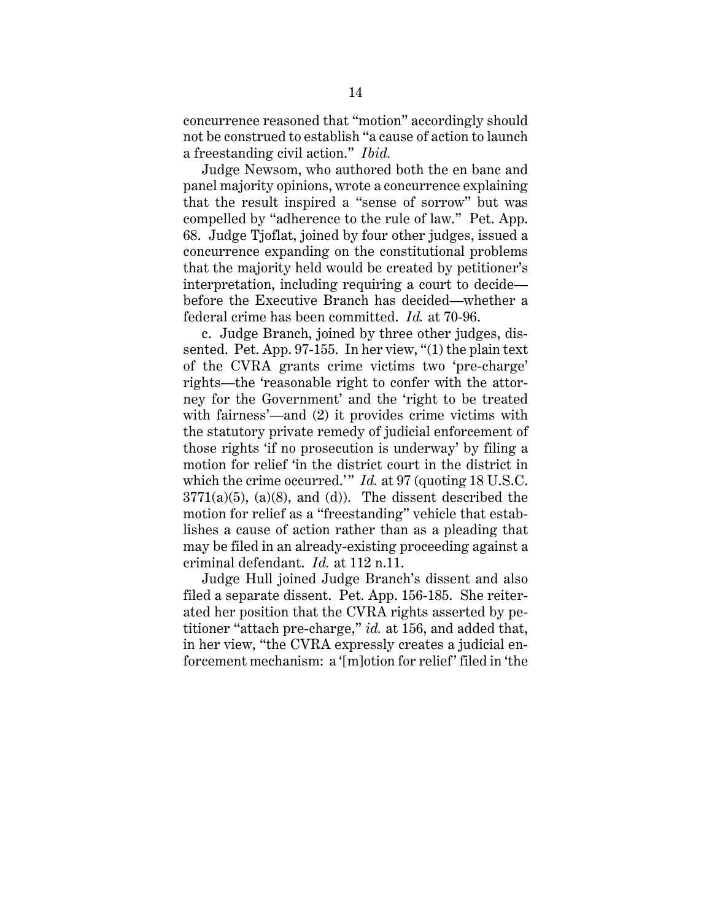concurrence reasoned that "motion" accordingly should not be construed to establish "a cause of action to launch a freestanding civil action." *Ibid.*

Judge Newsom, who authored both the en banc and panel majority opinions, wrote a concurrence explaining that the result inspired a "sense of sorrow" but was compelled by "adherence to the rule of law." Pet. App. 68. Judge Tjoflat, joined by four other judges, issued a concurrence expanding on the constitutional problems that the majority held would be created by petitioner's interpretation, including requiring a court to decide before the Executive Branch has decided—whether a federal crime has been committed. *Id.* at 70-96.

c. Judge Branch, joined by three other judges, dissented. Pet. App. 97-155. In her view, "(1) the plain text of the CVRA grants crime victims two 'pre-charge' rights—the 'reasonable right to confer with the attorney for the Government' and the 'right to be treated with fairness'—and (2) it provides crime victims with the statutory private remedy of judicial enforcement of those rights 'if no prosecution is underway' by filing a motion for relief 'in the district court in the district in which the crime occurred.'" *Id.* at 97 (quoting 18 U.S.C.  $3771(a)(5)$ ,  $(a)(8)$ , and  $(d)$ ). The dissent described the motion for relief as a "freestanding" vehicle that establishes a cause of action rather than as a pleading that may be filed in an already-existing proceeding against a criminal defendant. *Id.* at 112 n.11.

Judge Hull joined Judge Branch's dissent and also filed a separate dissent. Pet. App. 156-185. She reiterated her position that the CVRA rights asserted by petitioner "attach pre-charge," *id.* at 156, and added that, in her view, "the CVRA expressly creates a judicial enforcement mechanism: a '[m]otion for relief' filed in 'the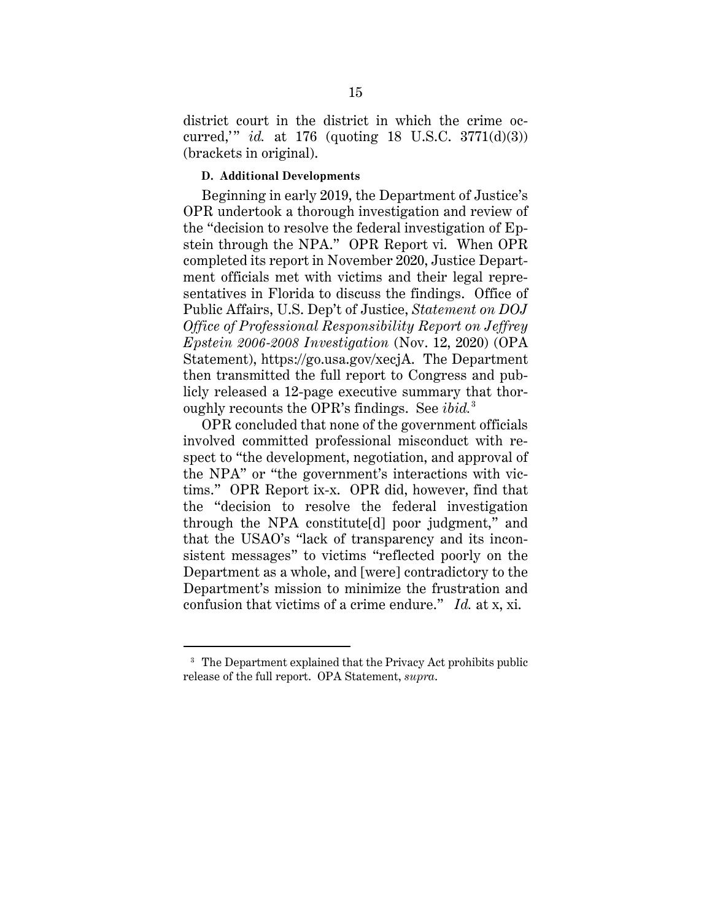district court in the district in which the crime occurred,' " *id.* at 176 (quoting 18 U.S.C. 3771(d)(3)) (brackets in original).

### **D. Additional Developments**

Beginning in early 2019, the Department of Justice's OPR undertook a thorough investigation and review of the "decision to resolve the federal investigation of Epstein through the NPA." OPR Report vi. When OPR completed its report in November 2020, Justice Department officials met with victims and their legal representatives in Florida to discuss the findings. Office of Public Affairs, U.S. Dep't of Justice, *Statement on DOJ Office of Professional Responsibility Report on Jeffrey Epstein 2006-2008 Investigation* (Nov. 12, 2020) (OPA Statement), https://go.usa.gov/xecjA. The Department then transmitted the full report to Congress and publicly released a 12-page executive summary that thoroughly recounts the OPR's findings. See *ibid.*<sup>3</sup>

OPR concluded that none of the government officials involved committed professional misconduct with respect to "the development, negotiation, and approval of the NPA" or "the government's interactions with victims." OPR Report ix-x. OPR did, however, find that the "decision to resolve the federal investigation through the NPA constitute[d] poor judgment," and that the USAO's "lack of transparency and its inconsistent messages" to victims "reflected poorly on the Department as a whole, and [were] contradictory to the Department's mission to minimize the frustration and confusion that victims of a crime endure." *Id.* at x, xi.

<sup>&</sup>lt;sup>3</sup> The Department explained that the Privacy Act prohibits public release of the full report. OPA Statement, *supra*.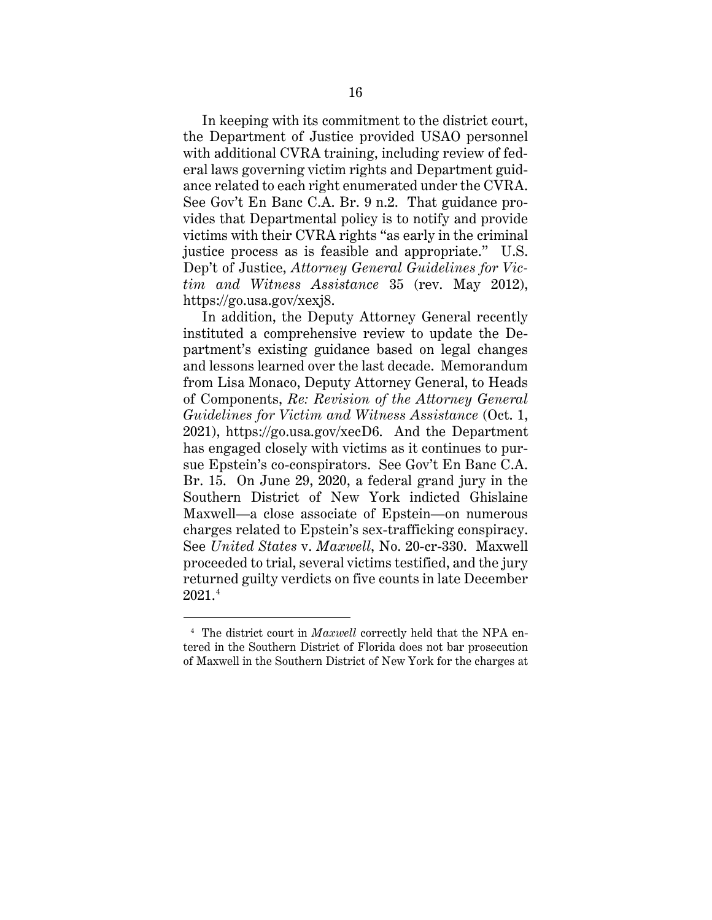In keeping with its commitment to the district court, the Department of Justice provided USAO personnel with additional CVRA training, including review of federal laws governing victim rights and Department guidance related to each right enumerated under the CVRA. See Gov't En Banc C.A. Br. 9 n.2. That guidance provides that Departmental policy is to notify and provide victims with their CVRA rights "as early in the criminal justice process as is feasible and appropriate." U.S. Dep't of Justice, *Attorney General Guidelines for Victim and Witness Assistance* 35 (rev. May 2012), https://go.usa.gov/xexj8.

In addition, the Deputy Attorney General recently instituted a comprehensive review to update the Department's existing guidance based on legal changes and lessons learned over the last decade. Memorandum from Lisa Monaco, Deputy Attorney General, to Heads of Components, *Re: Revision of the Attorney General Guidelines for Victim and Witness Assistance* (Oct. 1, 2021), https://go.usa.gov/xecD6. And the Department has engaged closely with victims as it continues to pursue Epstein's co-conspirators. See Gov't En Banc C.A. Br. 15. On June 29, 2020, a federal grand jury in the Southern District of New York indicted Ghislaine Maxwell—a close associate of Epstein—on numerous charges related to Epstein's sex-trafficking conspiracy. See *United States* v. *Maxwell*, No. 20-cr-330. Maxwell proceeded to trial, several victims testified, and the jury returned guilty verdicts on five counts in late December 2021.4

<sup>&</sup>lt;sup>4</sup> The district court in *Maxwell* correctly held that the NPA entered in the Southern District of Florida does not bar prosecution of Maxwell in the Southern District of New York for the charges at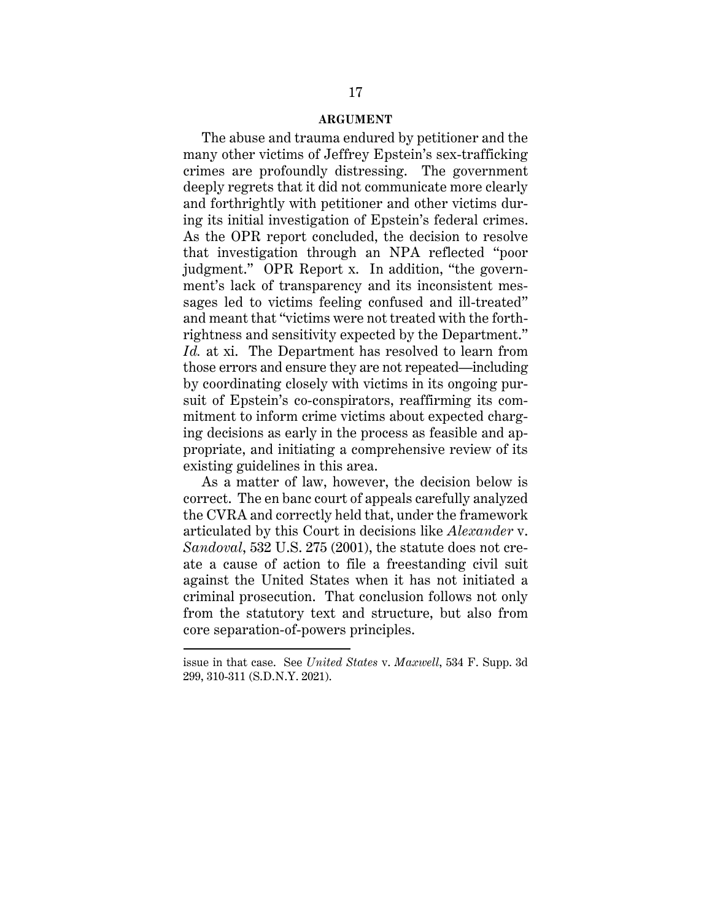#### **ARGUMENT**

The abuse and trauma endured by petitioner and the many other victims of Jeffrey Epstein's sex-trafficking crimes are profoundly distressing. The government deeply regrets that it did not communicate more clearly and forthrightly with petitioner and other victims during its initial investigation of Epstein's federal crimes. As the OPR report concluded, the decision to resolve that investigation through an NPA reflected "poor judgment." OPR Report x. In addition, "the government's lack of transparency and its inconsistent messages led to victims feeling confused and ill-treated" and meant that "victims were not treated with the forthrightness and sensitivity expected by the Department." *Id.* at xi. The Department has resolved to learn from those errors and ensure they are not repeated—including by coordinating closely with victims in its ongoing pursuit of Epstein's co-conspirators, reaffirming its commitment to inform crime victims about expected charging decisions as early in the process as feasible and appropriate, and initiating a comprehensive review of its existing guidelines in this area.

As a matter of law, however, the decision below is correct. The en banc court of appeals carefully analyzed the CVRA and correctly held that, under the framework articulated by this Court in decisions like *Alexander* v. *Sandoval*, 532 U.S. 275 (2001), the statute does not create a cause of action to file a freestanding civil suit against the United States when it has not initiated a criminal prosecution. That conclusion follows not only from the statutory text and structure, but also from core separation-of-powers principles.

issue in that case. See *United States* v. *Maxwell*, 534 F. Supp. 3d 299, 310-311 (S.D.N.Y. 2021).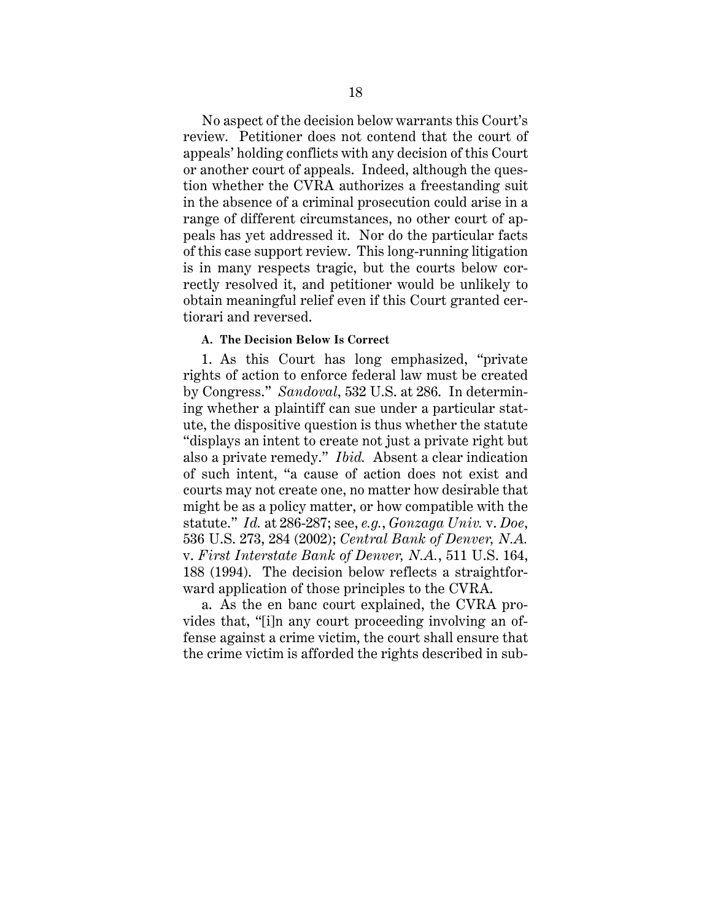No aspect of the decision below warrants this Court's review. Petitioner does not contend that the court of appeals' holding conflicts with any decision of this Court or another court of appeals. Indeed, although the question whether the CVRA authorizes a freestanding suit in the absence of a criminal prosecution could arise in a range of different circumstances, no other court of appeals has yet addressed it. Nor do the particular facts of this case support review. This long-running litigation is in many respects tragic, but the courts below correctly resolved it, and petitioner would be unlikely to obtain meaningful relief even if this Court granted certiorari and reversed.

#### **A. The Decision Below Is Correct**

1. As this Court has long emphasized, "private rights of action to enforce federal law must be created by Congress." *Sandoval*, 532 U.S. at 286. In determining whether a plaintiff can sue under a particular statute, the dispositive question is thus whether the statute "displays an intent to create not just a private right but also a private remedy." *Ibid.* Absent a clear indication of such intent, "a cause of action does not exist and courts may not create one, no matter how desirable that might be as a policy matter, or how compatible with the statute." *Id.* at 286-287; see, *e.g.*, *Gonzaga Univ.* v. *Doe*, 536 U.S. 273, 284 (2002); *Central Bank of Denver, N.A.* v. *First Interstate Bank of Denver, N.A.*, 511 U.S. 164, 188 (1994). The decision below reflects a straightforward application of those principles to the CVRA.

a. As the en banc court explained, the CVRA provides that, "[i]n any court proceeding involving an offense against a crime victim, the court shall ensure that the crime victim is afforded the rights described in sub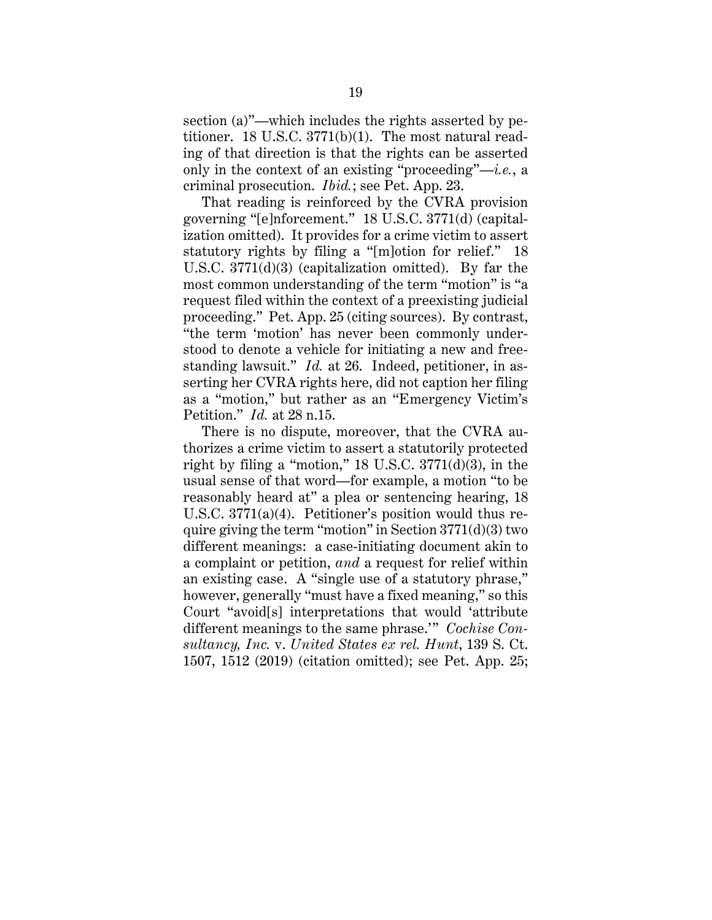section (a)"—which includes the rights asserted by petitioner. 18 U.S.C. 3771(b)(1). The most natural reading of that direction is that the rights can be asserted only in the context of an existing "proceeding"—*i.e.*, a criminal prosecution. *Ibid.*; see Pet. App. 23.

That reading is reinforced by the CVRA provision governing "[e]nforcement." 18 U.S.C. 3771(d) (capitalization omitted). It provides for a crime victim to assert statutory rights by filing a "[m]otion for relief." 18 U.S.C. 3771(d)(3) (capitalization omitted). By far the most common understanding of the term "motion" is "a request filed within the context of a preexisting judicial proceeding." Pet. App. 25 (citing sources). By contrast, "the term 'motion' has never been commonly understood to denote a vehicle for initiating a new and freestanding lawsuit." *Id.* at 26. Indeed, petitioner, in asserting her CVRA rights here, did not caption her filing as a "motion," but rather as an "Emergency Victim's Petition." *Id.* at 28 n.15.

There is no dispute, moreover, that the CVRA authorizes a crime victim to assert a statutorily protected right by filing a "motion,"  $18$  U.S.C.  $3771(d)(3)$ , in the usual sense of that word—for example, a motion "to be reasonably heard at" a plea or sentencing hearing, 18 U.S.C. 3771(a)(4). Petitioner's position would thus require giving the term "motion" in Section  $3771(d)(3)$  two different meanings: a case-initiating document akin to a complaint or petition, *and* a request for relief within an existing case. A "single use of a statutory phrase," however, generally "must have a fixed meaning," so this Court "avoid[s] interpretations that would 'attribute different meanings to the same phrase.'" *Cochise Consultancy, Inc.* v. *United States ex rel. Hunt*, 139 S. Ct. 1507, 1512 (2019) (citation omitted); see Pet. App. 25;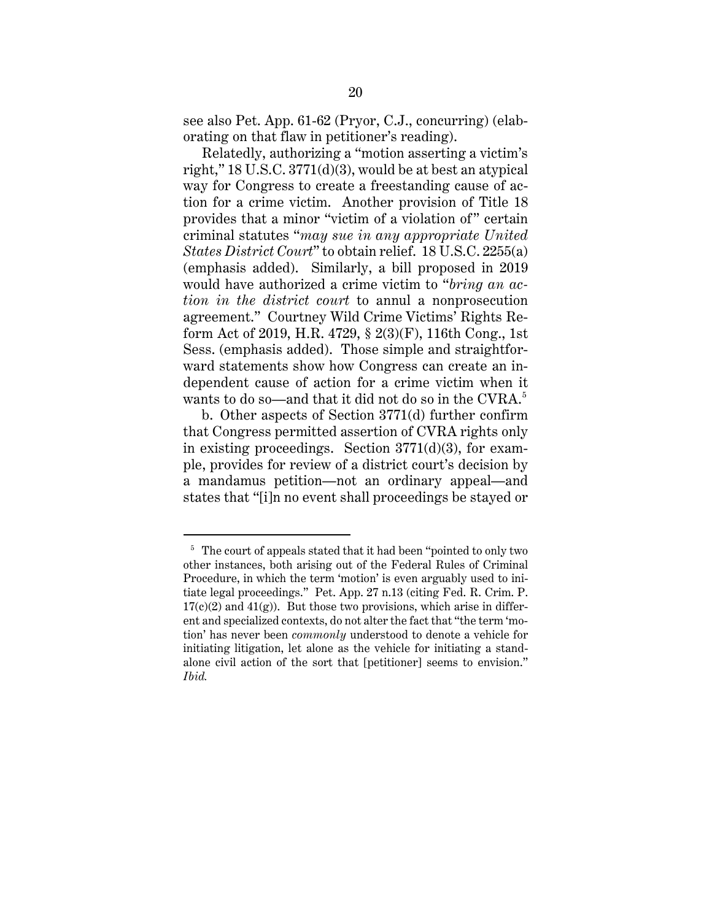see also Pet. App. 61-62 (Pryor, C.J., concurring) (elaborating on that flaw in petitioner's reading).

Relatedly, authorizing a "motion asserting a victim's right," 18 U.S.C. 3771(d)(3), would be at best an atypical way for Congress to create a freestanding cause of action for a crime victim. Another provision of Title 18 provides that a minor "victim of a violation of" certain criminal statutes "*may sue in any appropriate United States District Court*" to obtain relief. 18 U.S.C. 2255(a) (emphasis added). Similarly, a bill proposed in 2019 would have authorized a crime victim to "*bring an action in the district court* to annul a nonprosecution agreement." Courtney Wild Crime Victims' Rights Reform Act of 2019, H.R. 4729, § 2(3)(F), 116th Cong., 1st Sess. (emphasis added). Those simple and straightforward statements show how Congress can create an independent cause of action for a crime victim when it wants to do so—and that it did not do so in the  $\text{CVRA}.^{5}$ 

b. Other aspects of Section 3771(d) further confirm that Congress permitted assertion of CVRA rights only in existing proceedings. Section  $3771(d)(3)$ , for example, provides for review of a district court's decision by a mandamus petition—not an ordinary appeal—and states that "[i]n no event shall proceedings be stayed or

<sup>&</sup>lt;sup>5</sup> The court of appeals stated that it had been "pointed to only two other instances, both arising out of the Federal Rules of Criminal Procedure, in which the term 'motion' is even arguably used to initiate legal proceedings." Pet. App. 27 n.13 (citing Fed. R. Crim. P.  $17(c)(2)$  and  $41(g)$ ). But those two provisions, which arise in different and specialized contexts, do not alter the fact that "the term 'motion' has never been *commonly* understood to denote a vehicle for initiating litigation, let alone as the vehicle for initiating a standalone civil action of the sort that [petitioner] seems to envision." *Ibid.*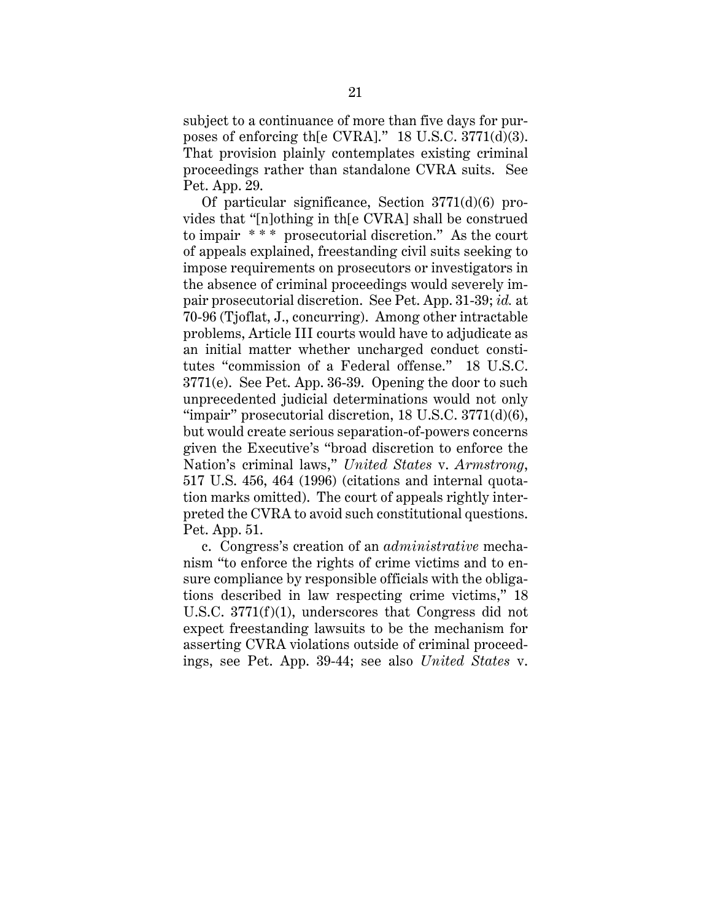subject to a continuance of more than five days for purposes of enforcing th[e CVRA]." 18 U.S.C. 3771(d)(3). That provision plainly contemplates existing criminal proceedings rather than standalone CVRA suits. See Pet. App. 29.

Of particular significance, Section 3771(d)(6) provides that "[n]othing in th[e CVRA] shall be construed to impair \* \* \* prosecutorial discretion." As the court of appeals explained, freestanding civil suits seeking to impose requirements on prosecutors or investigators in the absence of criminal proceedings would severely impair prosecutorial discretion. See Pet. App. 31-39; *id.* at 70-96 (Tjoflat, J., concurring). Among other intractable problems, Article III courts would have to adjudicate as an initial matter whether uncharged conduct constitutes "commission of a Federal offense." 18 U.S.C. 3771(e). See Pet. App. 36-39. Opening the door to such unprecedented judicial determinations would not only "impair" prosecutorial discretion, 18 U.S.C. 3771(d)(6), but would create serious separation-of-powers concerns given the Executive's "broad discretion to enforce the Nation's criminal laws," *United States* v. *Armstrong*, 517 U.S. 456, 464 (1996) (citations and internal quotation marks omitted). The court of appeals rightly interpreted the CVRA to avoid such constitutional questions. Pet. App. 51.

c. Congress's creation of an *administrative* mechanism "to enforce the rights of crime victims and to ensure compliance by responsible officials with the obligations described in law respecting crime victims," 18 U.S.C. 3771(f)(1), underscores that Congress did not expect freestanding lawsuits to be the mechanism for asserting CVRA violations outside of criminal proceedings, see Pet. App. 39-44; see also *United States* v.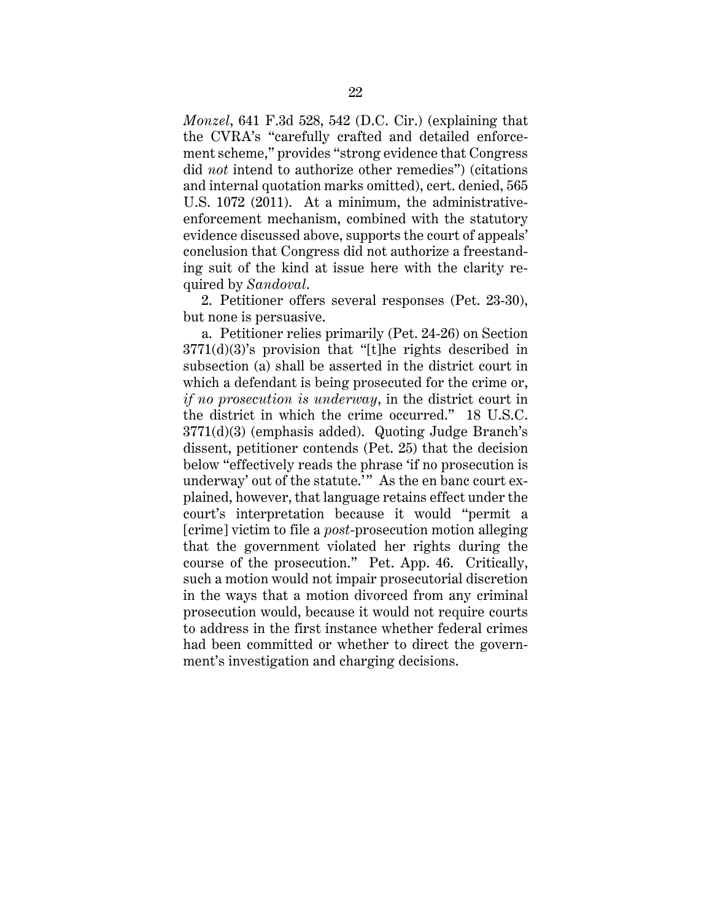*Monzel*, 641 F.3d 528, 542 (D.C. Cir.) (explaining that the CVRA's "carefully crafted and detailed enforcement scheme," provides "strong evidence that Congress did *not* intend to authorize other remedies") (citations and internal quotation marks omitted), cert. denied, 565 U.S. 1072 (2011). At a minimum, the administrativeenforcement mechanism, combined with the statutory evidence discussed above, supports the court of appeals' conclusion that Congress did not authorize a freestanding suit of the kind at issue here with the clarity required by *Sandoval*.

2. Petitioner offers several responses (Pet. 23-30), but none is persuasive.

a. Petitioner relies primarily (Pet. 24-26) on Section 3771(d)(3)'s provision that "[t]he rights described in subsection (a) shall be asserted in the district court in which a defendant is being prosecuted for the crime or, *if no prosecution is underway*, in the district court in the district in which the crime occurred." 18 U.S.C. 3771(d)(3) (emphasis added). Quoting Judge Branch's dissent, petitioner contends (Pet. 25) that the decision below "effectively reads the phrase 'if no prosecution is underway' out of the statute." As the en banc court explained, however, that language retains effect under the court's interpretation because it would "permit a [crime] victim to file a *post*-prosecution motion alleging that the government violated her rights during the course of the prosecution." Pet. App. 46. Critically, such a motion would not impair prosecutorial discretion in the ways that a motion divorced from any criminal prosecution would, because it would not require courts to address in the first instance whether federal crimes had been committed or whether to direct the government's investigation and charging decisions.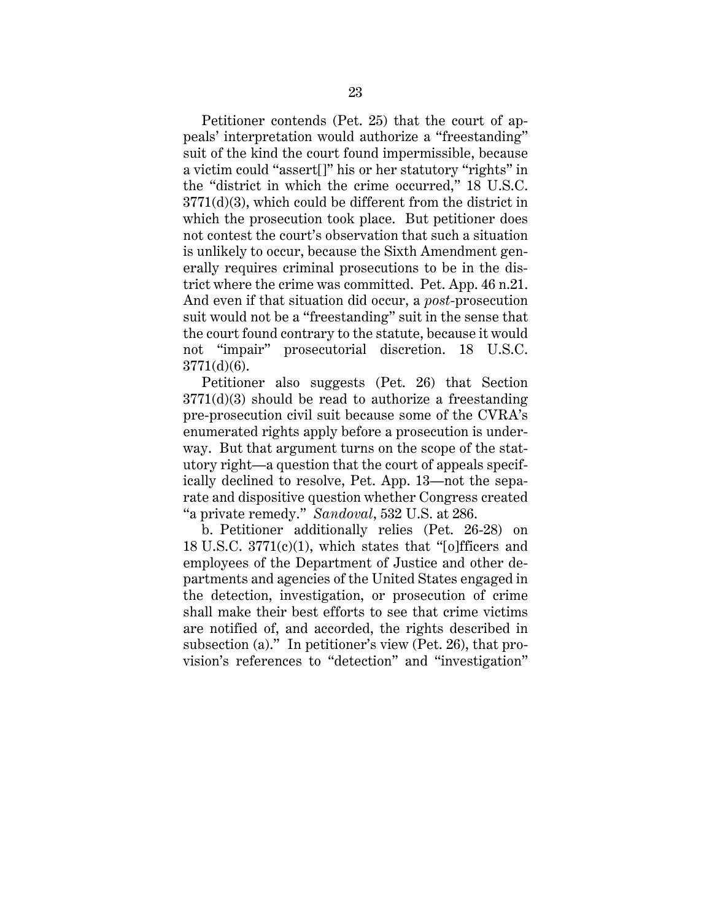Petitioner contends (Pet. 25) that the court of appeals' interpretation would authorize a "freestanding" suit of the kind the court found impermissible, because a victim could "assert[]" his or her statutory "rights" in the "district in which the crime occurred," 18 U.S.C. 3771(d)(3), which could be different from the district in which the prosecution took place. But petitioner does not contest the court's observation that such a situation is unlikely to occur, because the Sixth Amendment generally requires criminal prosecutions to be in the district where the crime was committed. Pet. App. 46 n.21. And even if that situation did occur, a *post*-prosecution suit would not be a "freestanding" suit in the sense that the court found contrary to the statute, because it would not "impair" prosecutorial discretion. 18 U.S.C. 3771(d)(6).

Petitioner also suggests (Pet. 26) that Section 3771(d)(3) should be read to authorize a freestanding pre-prosecution civil suit because some of the CVRA's enumerated rights apply before a prosecution is underway. But that argument turns on the scope of the statutory right—a question that the court of appeals specifically declined to resolve, Pet. App. 13—not the separate and dispositive question whether Congress created "a private remedy." *Sandoval*, 532 U.S. at 286.

b. Petitioner additionally relies (Pet. 26-28) on 18 U.S.C. 3771(c)(1), which states that "[o]fficers and employees of the Department of Justice and other departments and agencies of the United States engaged in the detection, investigation, or prosecution of crime shall make their best efforts to see that crime victims are notified of, and accorded, the rights described in subsection (a)." In petitioner's view (Pet. 26), that provision's references to "detection" and "investigation"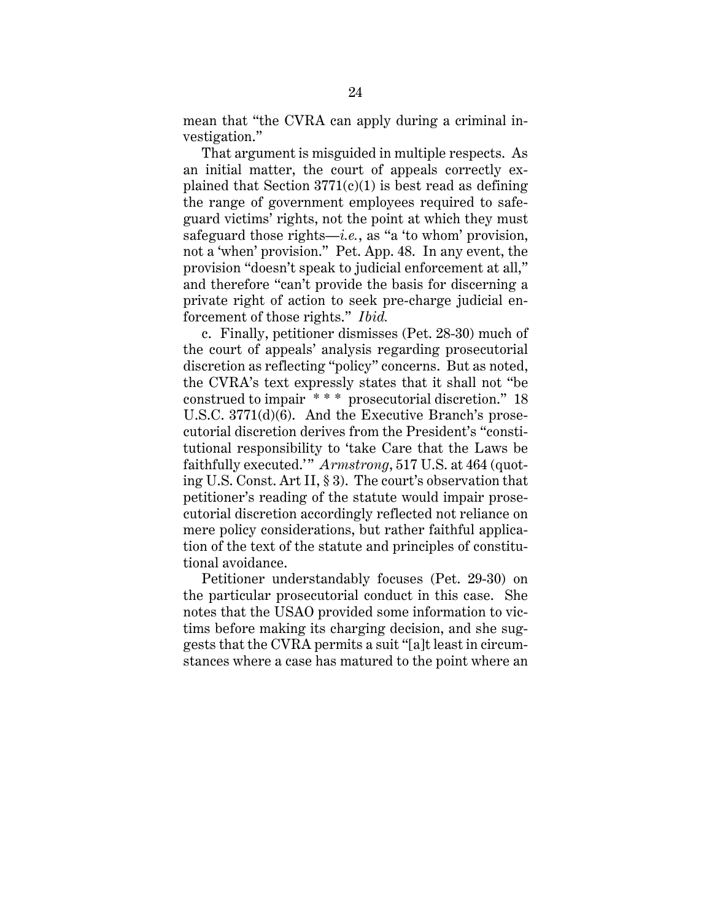mean that "the CVRA can apply during a criminal investigation."

That argument is misguided in multiple respects. As an initial matter, the court of appeals correctly explained that Section  $3771(c)(1)$  is best read as defining the range of government employees required to safeguard victims' rights, not the point at which they must safeguard those rights—*i.e.*, as "a 'to whom' provision, not a 'when' provision." Pet. App. 48. In any event, the provision "doesn't speak to judicial enforcement at all," and therefore "can't provide the basis for discerning a private right of action to seek pre-charge judicial enforcement of those rights." *Ibid.* 

c. Finally, petitioner dismisses (Pet. 28-30) much of the court of appeals' analysis regarding prosecutorial discretion as reflecting "policy" concerns. But as noted, the CVRA's text expressly states that it shall not "be construed to impair  $**$  prosecutorial discretion." 18 U.S.C. 3771(d)(6). And the Executive Branch's prosecutorial discretion derives from the President's "constitutional responsibility to 'take Care that the Laws be faithfully executed." Armstrong, 517 U.S. at 464 (quoting U.S. Const. Art II, § 3). The court's observation that petitioner's reading of the statute would impair prosecutorial discretion accordingly reflected not reliance on mere policy considerations, but rather faithful application of the text of the statute and principles of constitutional avoidance.

Petitioner understandably focuses (Pet. 29-30) on the particular prosecutorial conduct in this case. She notes that the USAO provided some information to victims before making its charging decision, and she suggests that the CVRA permits a suit "[a]t least in circumstances where a case has matured to the point where an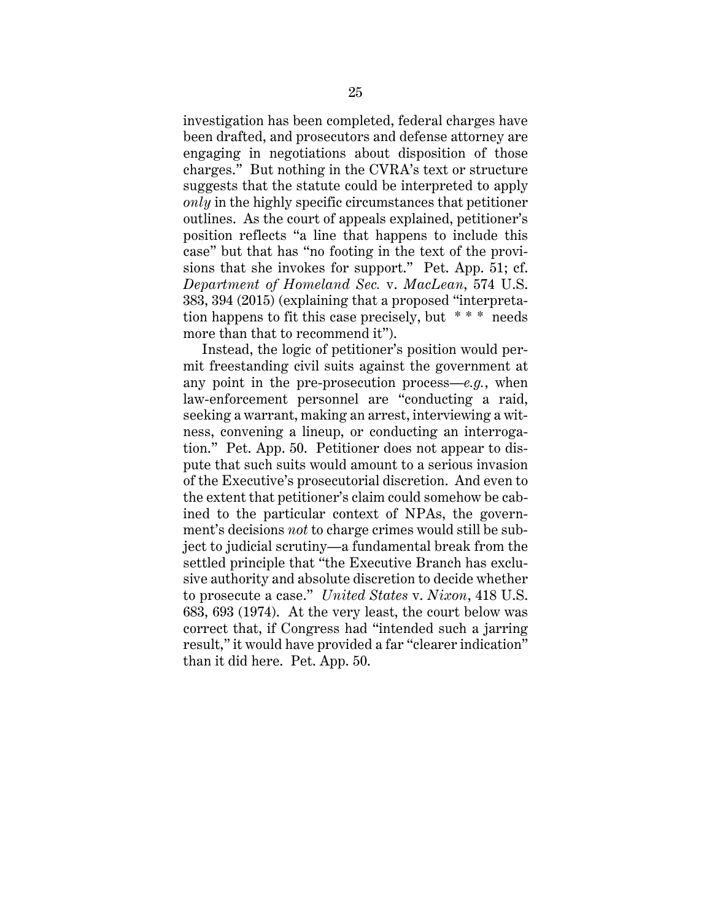investigation has been completed, federal charges have been drafted, and prosecutors and defense attorney are engaging in negotiations about disposition of those charges." But nothing in the CVRA's text or structure suggests that the statute could be interpreted to apply *only* in the highly specific circumstances that petitioner outlines. As the court of appeals explained, petitioner's position reflects "a line that happens to include this case" but that has "no footing in the text of the provisions that she invokes for support." Pet. App. 51; cf. *Department of Homeland Sec.* v. *MacLean*, 574 U.S. 383, 394 (2015) (explaining that a proposed "interpretation happens to fit this case precisely, but \* \* \* needs more than that to recommend it").

Instead, the logic of petitioner's position would permit freestanding civil suits against the government at any point in the pre-prosecution process—*e.g.*, when law-enforcement personnel are "conducting a raid, seeking a warrant, making an arrest, interviewing a witness, convening a lineup, or conducting an interrogation." Pet. App. 50. Petitioner does not appear to dispute that such suits would amount to a serious invasion of the Executive's prosecutorial discretion. And even to the extent that petitioner's claim could somehow be cabined to the particular context of NPAs, the government's decisions *not* to charge crimes would still be subject to judicial scrutiny—a fundamental break from the settled principle that "the Executive Branch has exclusive authority and absolute discretion to decide whether to prosecute a case." *United States* v. *Nixon*, 418 U.S. 683, 693 (1974). At the very least, the court below was correct that, if Congress had "intended such a jarring result," it would have provided a far "clearer indication" than it did here. Pet. App. 50.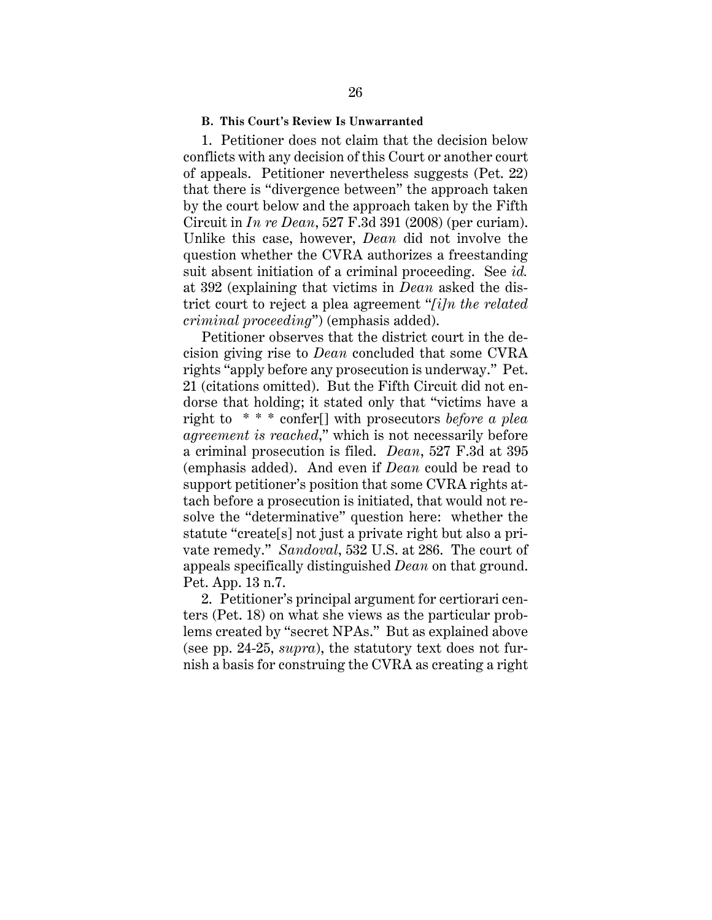## **B. This Court's Review Is Unwarranted**

1. Petitioner does not claim that the decision below conflicts with any decision of this Court or another court of appeals. Petitioner nevertheless suggests (Pet. 22) that there is "divergence between" the approach taken by the court below and the approach taken by the Fifth Circuit in *In re Dean*, 527 F.3d 391 (2008) (per curiam). Unlike this case, however, *Dean* did not involve the question whether the CVRA authorizes a freestanding suit absent initiation of a criminal proceeding. See *id.* at 392 (explaining that victims in *Dean* asked the district court to reject a plea agreement "*[i]n the related criminal proceeding*") (emphasis added).

Petitioner observes that the district court in the decision giving rise to *Dean* concluded that some CVRA rights "apply before any prosecution is underway." Pet. 21 (citations omitted). But the Fifth Circuit did not endorse that holding; it stated only that "victims have a right to \* \* \* confer[] with prosecutors *before a plea agreement is reached*," which is not necessarily before a criminal prosecution is filed. *Dean*, 527 F.3d at 395 (emphasis added). And even if *Dean* could be read to support petitioner's position that some CVRA rights attach before a prosecution is initiated, that would not resolve the "determinative" question here: whether the statute "create[s] not just a private right but also a private remedy." *Sandoval*, 532 U.S. at 286. The court of appeals specifically distinguished *Dean* on that ground. Pet. App. 13 n.7.

2. Petitioner's principal argument for certiorari centers (Pet. 18) on what she views as the particular problems created by "secret NPAs." But as explained above (see pp. 24-25, *supra*), the statutory text does not furnish a basis for construing the CVRA as creating a right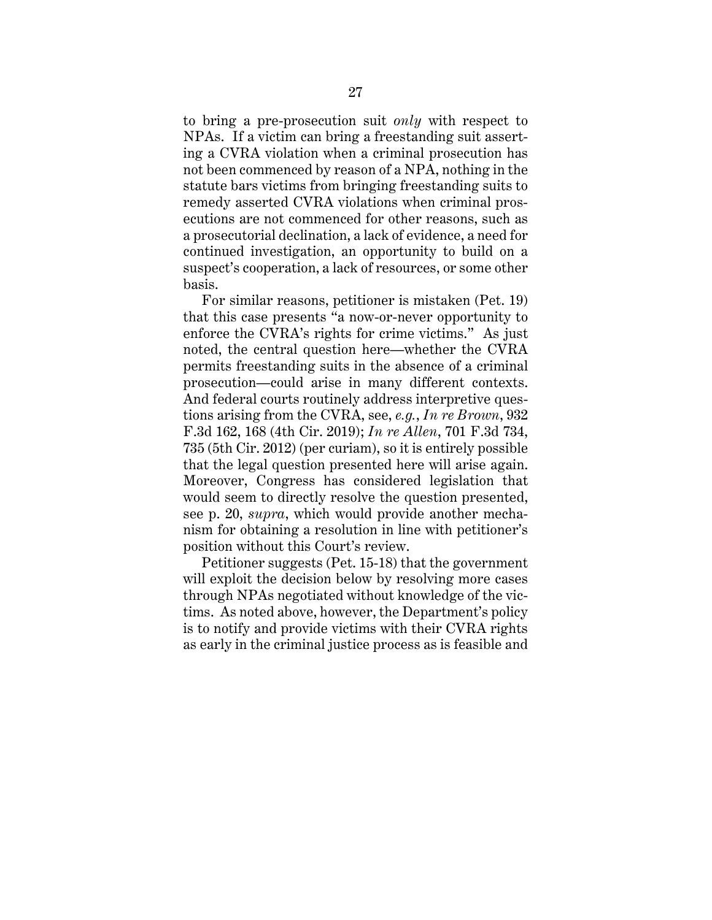to bring a pre-prosecution suit *only* with respect to NPAs. If a victim can bring a freestanding suit asserting a CVRA violation when a criminal prosecution has not been commenced by reason of a NPA, nothing in the statute bars victims from bringing freestanding suits to remedy asserted CVRA violations when criminal prosecutions are not commenced for other reasons, such as a prosecutorial declination, a lack of evidence, a need for continued investigation, an opportunity to build on a suspect's cooperation, a lack of resources, or some other basis.

For similar reasons, petitioner is mistaken (Pet. 19) that this case presents "a now-or-never opportunity to enforce the CVRA's rights for crime victims." As just noted, the central question here—whether the CVRA permits freestanding suits in the absence of a criminal prosecution—could arise in many different contexts. And federal courts routinely address interpretive questions arising from the CVRA, see, *e.g.*, *In re Brown*, 932 F.3d 162, 168 (4th Cir. 2019); *In re Allen*, 701 F.3d 734, 735 (5th Cir. 2012) (per curiam), so it is entirely possible that the legal question presented here will arise again. Moreover, Congress has considered legislation that would seem to directly resolve the question presented, see p. 20, *supra*, which would provide another mechanism for obtaining a resolution in line with petitioner's position without this Court's review.

Petitioner suggests (Pet. 15-18) that the government will exploit the decision below by resolving more cases through NPAs negotiated without knowledge of the victims. As noted above, however, the Department's policy is to notify and provide victims with their CVRA rights as early in the criminal justice process as is feasible and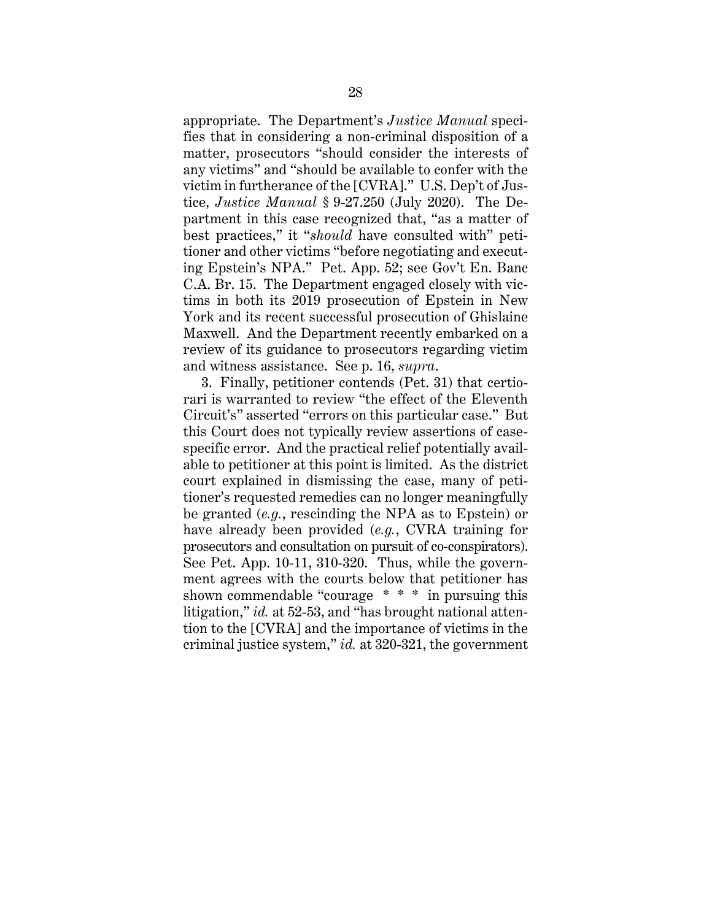appropriate. The Department's *Justice Manual* specifies that in considering a non-criminal disposition of a matter, prosecutors "should consider the interests of any victims" and "should be available to confer with the victim in furtherance of the [CVRA]." U.S. Dep't of Justice, *Justice Manual* § 9-27.250 (July 2020). The Department in this case recognized that, "as a matter of best practices," it "*should* have consulted with" petitioner and other victims "before negotiating and executing Epstein's NPA." Pet. App. 52; see Gov't En. Banc C.A. Br. 15. The Department engaged closely with victims in both its 2019 prosecution of Epstein in New York and its recent successful prosecution of Ghislaine Maxwell. And the Department recently embarked on a review of its guidance to prosecutors regarding victim and witness assistance. See p. 16, *supra*.

3. Finally, petitioner contends (Pet. 31) that certiorari is warranted to review "the effect of the Eleventh Circuit's" asserted "errors on this particular case." But this Court does not typically review assertions of casespecific error. And the practical relief potentially available to petitioner at this point is limited. As the district court explained in dismissing the case, many of petitioner's requested remedies can no longer meaningfully be granted (*e.g.*, rescinding the NPA as to Epstein) or have already been provided (*e.g.*, CVRA training for prosecutors and consultation on pursuit of co-conspirators). See Pet. App. 10-11, 310-320. Thus, while the government agrees with the courts below that petitioner has shown commendable "courage \* \* \* in pursuing this litigation," *id.* at 52-53, and "has brought national attention to the [CVRA] and the importance of victims in the criminal justice system," *id.* at 320-321, the government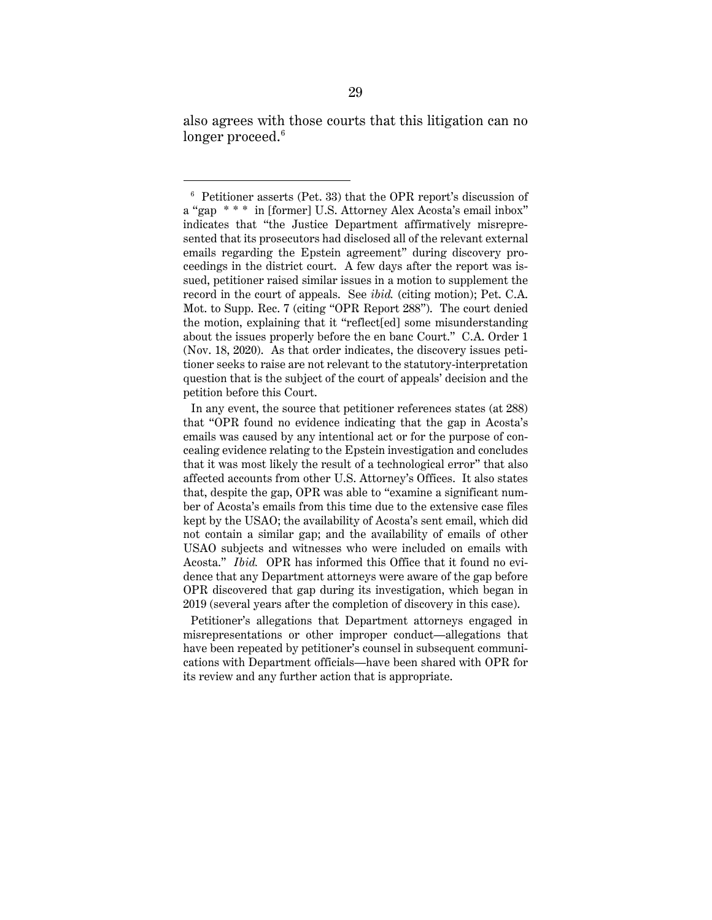also agrees with those courts that this litigation can no longer proceed. $^6$ 

In any event, the source that petitioner references states (at 288) that "OPR found no evidence indicating that the gap in Acosta's emails was caused by any intentional act or for the purpose of concealing evidence relating to the Epstein investigation and concludes that it was most likely the result of a technological error" that also affected accounts from other U.S. Attorney's Offices. It also states that, despite the gap, OPR was able to "examine a significant number of Acosta's emails from this time due to the extensive case files kept by the USAO; the availability of Acosta's sent email, which did not contain a similar gap; and the availability of emails of other USAO subjects and witnesses who were included on emails with Acosta." *Ibid.* OPR has informed this Office that it found no evidence that any Department attorneys were aware of the gap before OPR discovered that gap during its investigation, which began in 2019 (several years after the completion of discovery in this case).

Petitioner's allegations that Department attorneys engaged in misrepresentations or other improper conduct—allegations that have been repeated by petitioner's counsel in subsequent communications with Department officials—have been shared with OPR for its review and any further action that is appropriate.

<sup>6</sup> Petitioner asserts (Pet. 33) that the OPR report's discussion of a "gap \* \* \* in [former] U.S. Attorney Alex Acosta's email inbox" indicates that "the Justice Department affirmatively misrepresented that its prosecutors had disclosed all of the relevant external emails regarding the Epstein agreement" during discovery proceedings in the district court. A few days after the report was issued, petitioner raised similar issues in a motion to supplement the record in the court of appeals. See *ibid.* (citing motion); Pet. C.A. Mot. to Supp. Rec. 7 (citing "OPR Report 288"). The court denied the motion, explaining that it "reflect[ed] some misunderstanding about the issues properly before the en banc Court." C.A. Order 1 (Nov. 18, 2020). As that order indicates, the discovery issues petitioner seeks to raise are not relevant to the statutory-interpretation question that is the subject of the court of appeals' decision and the petition before this Court.